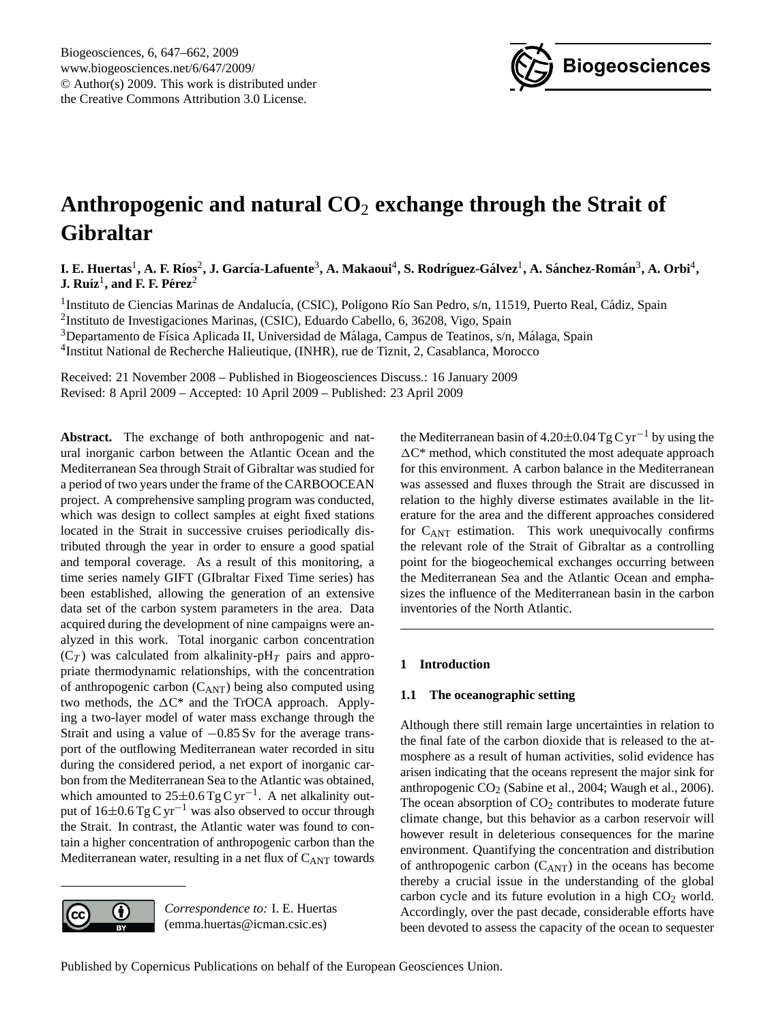

# <span id="page-0-0"></span>**Anthropogenic and natural CO**<sup>2</sup> **exchange through the Strait of Gibraltar**

 ${\bf I. E. H }$ uertas $^1$ , A. F. Ríos $^2$ , J. García-Lafuente $^3$ , A. Makaoui $^4$ , S. Rodríguez-Gálvez $^1$ , A. Sánchez-Román $^3$ , A. Orbi $^4$ ,  $\mathbf{J.} \mathbf{R}$ uíz $^1$ , and F. F. Pérez $^2$ 

<sup>1</sup>Instituto de Ciencias Marinas de Andalucía, (CSIC), Polígono Río San Pedro, s/n, 11519, Puerto Real, Cádiz, Spain <sup>2</sup>Instituto de Investigaciones Marinas, (CSIC), Eduardo Cabello, 6, 36208, Vigo, Spain <sup>3</sup>Departamento de Física Aplicada II, Universidad de Málaga, Campus de Teatinos, s/n, Málaga, Spain <sup>4</sup>Institut National de Recherche Halieutique, (INHR), rue de Tiznit, 2, Casablanca, Morocco

Received: 21 November 2008 – Published in Biogeosciences Discuss.: 16 January 2009 Revised: 8 April 2009 – Accepted: 10 April 2009 – Published: 23 April 2009

**Abstract.** The exchange of both anthropogenic and natural inorganic carbon between the Atlantic Ocean and the Mediterranean Sea through Strait of Gibraltar was studied for a period of two years under the frame of the CARBOOCEAN project. A comprehensive sampling program was conducted, which was design to collect samples at eight fixed stations located in the Strait in successive cruises periodically distributed through the year in order to ensure a good spatial and temporal coverage. As a result of this monitoring, a time series namely GIFT (GIbraltar Fixed Time series) has been established, allowing the generation of an extensive data set of the carbon system parameters in the area. Data acquired during the development of nine campaigns were analyzed in this work. Total inorganic carbon concentration  $(C_T)$  was calculated from alkalinity-pH<sub>T</sub> pairs and appropriate thermodynamic relationships, with the concentration of anthropogenic carbon  $(C_{\text{ANT}})$  being also computed using two methods, the  $\Delta C^*$  and the TrOCA approach. Applying a two-layer model of water mass exchange through the Strait and using a value of −0.85 Sv for the average transport of the outflowing Mediterranean water recorded in situ during the considered period, a net export of inorganic carbon from the Mediterranean Sea to the Atlantic was obtained, which amounted to  $25\pm0.6$  Tg C yr<sup>-1</sup>. A net alkalinity output of 16±0.6 Tg C yr<sup>-1</sup> was also observed to occur through the Strait. In contrast, the Atlantic water was found to contain a higher concentration of anthropogenic carbon than the Mediterranean water, resulting in a net flux of  $C_{ANT}$  towards



*Correspondence to:* I. E. Huertas (emma.huertas@icman.csic.es)

the Mediterranean basin of 4.20±0.04 Tg C yr<sup>-1</sup> by using the  $\Delta C^*$  method, which constituted the most adequate approach for this environment. A carbon balance in the Mediterranean was assessed and fluxes through the Strait are discussed in relation to the highly diverse estimates available in the literature for the area and the different approaches considered for C<sub>ANT</sub> estimation. This work unequivocally confirms the relevant role of the Strait of Gibraltar as a controlling point for the biogeochemical exchanges occurring between the Mediterranean Sea and the Atlantic Ocean and emphasizes the influence of the Mediterranean basin in the carbon inventories of the North Atlantic.

# **1 Introduction**

# **1.1 The oceanographic setting**

Although there still remain large uncertainties in relation to the final fate of the carbon dioxide that is released to the atmosphere as a result of human activities, solid evidence has arisen indicating that the oceans represent the major sink for anthropogenic  $CO<sub>2</sub>$  (Sabine et al., 2004; Waugh et al., 2006). The ocean absorption of  $CO<sub>2</sub>$  contributes to moderate future climate change, but this behavior as a carbon reservoir will however result in deleterious consequences for the marine environment. Quantifying the concentration and distribution of anthropogenic carbon  $(C_{\text{ANT}})$  in the oceans has become thereby a crucial issue in the understanding of the global carbon cycle and its future evolution in a high  $CO<sub>2</sub>$  world. Accordingly, over the past decade, considerable efforts have been devoted to assess the capacity of the ocean to sequester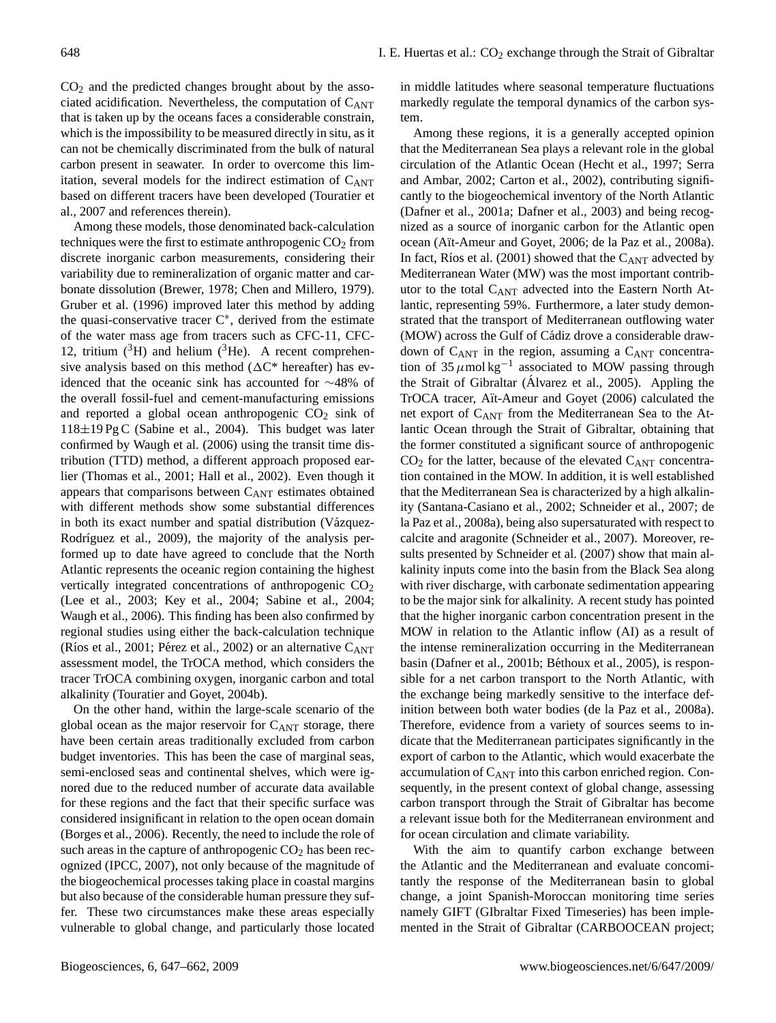$CO<sub>2</sub>$  and the predicted changes brought about by the associated acidification. Nevertheless, the computation of  $C_{\text{ANT}}$ that is taken up by the oceans faces a considerable constrain, which is the impossibility to be measured directly in situ, as it can not be chemically discriminated from the bulk of natural carbon present in seawater. In order to overcome this limitation, several models for the indirect estimation of CANT based on different tracers have been developed (Touratier et al., 2007 and references therein).

Among these models, those denominated back-calculation techniques were the first to estimate anthropogenic  $CO<sub>2</sub>$  from discrete inorganic carbon measurements, considering their variability due to remineralization of organic matter and carbonate dissolution (Brewer, 1978; Chen and Millero, 1979). Gruber et al. (1996) improved later this method by adding the quasi-conservative tracer C<sup>∗</sup> , derived from the estimate of the water mass age from tracers such as CFC-11, CFC-12, tritium  $({}^{3}H)$  and helium  $({}^{3}He)$ . A recent comprehensive analysis based on this method ( $\Delta C^*$  hereafter) has evidenced that the oceanic sink has accounted for ∼48% of the overall fossil-fuel and cement-manufacturing emissions and reported a global ocean anthropogenic  $CO<sub>2</sub>$  sink of 118±19 Pg C (Sabine et al., 2004). This budget was later confirmed by Waugh et al. (2006) using the transit time distribution (TTD) method, a different approach proposed earlier (Thomas et al., 2001; Hall et al., 2002). Even though it appears that comparisons between  $C_{\text{ANT}}$  estimates obtained with different methods show some substantial differences in both its exact number and spatial distribution (Vázquez-Rodríguez et al., 2009), the majority of the analysis performed up to date have agreed to conclude that the North Atlantic represents the oceanic region containing the highest vertically integrated concentrations of anthropogenic  $CO<sub>2</sub>$ (Lee et al., 2003; Key et al., 2004; Sabine et al., 2004; Waugh et al., 2006). This finding has been also confirmed by regional studies using either the back-calculation technique (Ríos et al., 2001; Pérez et al., 2002) or an alternative  $C_{\text{ANT}}$ assessment model, the TrOCA method, which considers the tracer TrOCA combining oxygen, inorganic carbon and total alkalinity (Touratier and Goyet, 2004b).

On the other hand, within the large-scale scenario of the global ocean as the major reservoir for  $C_{\text{ANT}}$  storage, there have been certain areas traditionally excluded from carbon budget inventories. This has been the case of marginal seas, semi-enclosed seas and continental shelves, which were ignored due to the reduced number of accurate data available for these regions and the fact that their specific surface was considered insignificant in relation to the open ocean domain (Borges et al., 2006). Recently, the need to include the role of such areas in the capture of anthropogenic  $CO<sub>2</sub>$  has been recognized (IPCC, 2007), not only because of the magnitude of the biogeochemical processes taking place in coastal margins but also because of the considerable human pressure they suffer. These two circumstances make these areas especially vulnerable to global change, and particularly those located in middle latitudes where seasonal temperature fluctuations markedly regulate the temporal dynamics of the carbon system.

Among these regions, it is a generally accepted opinion that the Mediterranean Sea plays a relevant role in the global circulation of the Atlantic Ocean (Hecht et al., 1997; Serra and Ambar, 2002; Carton et al., 2002), contributing significantly to the biogeochemical inventory of the North Atlantic (Dafner et al., 2001a; Dafner et al., 2003) and being recognized as a source of inorganic carbon for the Atlantic open ocean (Aït-Ameur and Goyet, 2006; de la Paz et al., 2008a). In fact, Ríos et al. (2001) showed that the  $C_{\text{ANT}}$  advected by Mediterranean Water (MW) was the most important contributor to the total  $C_{\text{ANT}}$  advected into the Eastern North Atlantic, representing 59%. Furthermore, a later study demonstrated that the transport of Mediterranean outflowing water (MOW) across the Gulf of Cádiz drove a considerable drawdown of  $C_{\text{ANT}}$  in the region, assuming a  $C_{\text{ANT}}$  concentration of 35  $\mu$ mol kg<sup>-1</sup> associated to MOW passing through the Strait of Gibraltar (Álvarez et al., 2005). Appling the TrOCA tracer, Aït-Ameur and Goyet (2006) calculated the net export of CANT from the Mediterranean Sea to the Atlantic Ocean through the Strait of Gibraltar, obtaining that the former constituted a significant source of anthropogenic  $CO<sub>2</sub>$  for the latter, because of the elevated  $C<sub>ANT</sub>$  concentration contained in the MOW. In addition, it is well established that the Mediterranean Sea is characterized by a high alkalinity (Santana-Casiano et al., 2002; Schneider et al., 2007; de la Paz et al., 2008a), being also supersaturated with respect to calcite and aragonite (Schneider et al., 2007). Moreover, results presented by Schneider et al. (2007) show that main alkalinity inputs come into the basin from the Black Sea along with river discharge, with carbonate sedimentation appearing to be the major sink for alkalinity. A recent study has pointed that the higher inorganic carbon concentration present in the MOW in relation to the Atlantic inflow (AI) as a result of the intense remineralization occurring in the Mediterranean basin (Dafner et al., 2001b; Béthoux et al., 2005), is responsible for a net carbon transport to the North Atlantic, with the exchange being markedly sensitive to the interface definition between both water bodies (de la Paz et al., 2008a). Therefore, evidence from a variety of sources seems to indicate that the Mediterranean participates significantly in the export of carbon to the Atlantic, which would exacerbate the accumulation of  $C_{\text{ANT}}$  into this carbon enriched region. Consequently, in the present context of global change, assessing carbon transport through the Strait of Gibraltar has become a relevant issue both for the Mediterranean environment and for ocean circulation and climate variability.

With the aim to quantify carbon exchange between the Atlantic and the Mediterranean and evaluate concomitantly the response of the Mediterranean basin to global change, a joint Spanish-Moroccan monitoring time series namely GIFT (GIbraltar Fixed Timeseries) has been implemented in the Strait of Gibraltar (CARBOOCEAN project;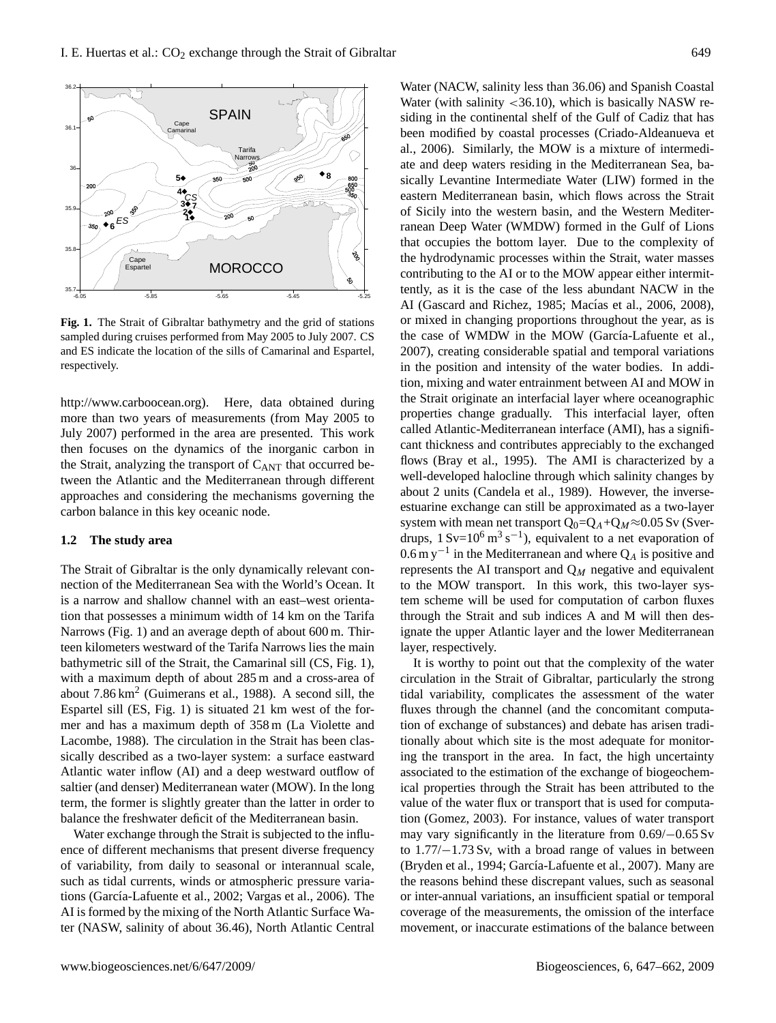

**Fig. 1.** The Strait of Gibraltar bathymetry and the grid of stations sampled during cruises performed from May 2005 to July 2007. CS and ES indicate the location of the sills of Camarinal and Espartel, respectively.

[http://www.carboocean.org\)](http://www.carboocean.org). Here, data obtained during more than two years of measurements (from May 2005 to July 2007) performed in the area are presented. This work then focuses on the dynamics of the inorganic carbon in the Strait, analyzing the transport of  $C_{ANT}$  that occurred between the Atlantic and the Mediterranean through different approaches and considering the mechanisms governing the carbon balance in this key oceanic node.

## **1.2 The study area**

The Strait of Gibraltar is the only dynamically relevant connection of the Mediterranean Sea with the World's Ocean. It is a narrow and shallow channel with an east–west orientation that possesses a minimum width of 14 km on the Tarifa Narrows (Fig. 1) and an average depth of about 600 m. Thirteen kilometers westward of the Tarifa Narrows lies the main bathymetric sill of the Strait, the Camarinal sill (CS, Fig. 1), with a maximum depth of about 285 m and a cross-area of about  $7.86 \text{ km}^2$  (Guimerans et al., 1988). A second sill, the Espartel sill (ES, Fig. 1) is situated 21 km west of the former and has a maximum depth of 358 m (La Violette and Lacombe, 1988). The circulation in the Strait has been classically described as a two-layer system: a surface eastward Atlantic water inflow (AI) and a deep westward outflow of saltier (and denser) Mediterranean water (MOW). In the long term, the former is slightly greater than the latter in order to balance the freshwater deficit of the Mediterranean basin.

Water exchange through the Strait is subjected to the influence of different mechanisms that present diverse frequency of variability, from daily to seasonal or interannual scale, such as tidal currents, winds or atmospheric pressure variations (García-Lafuente et al., 2002; Vargas et al., 2006). The AI is formed by the mixing of the North Atlantic Surface Water (NASW, salinity of about 36.46), North Atlantic Central

Water (NACW, salinity less than 36.06) and Spanish Coastal Water (with salinity  $<$ 36.10), which is basically NASW residing in the continental shelf of the Gulf of Cadiz that has been modified by coastal processes (Criado-Aldeanueva et al., 2006). Similarly, the MOW is a mixture of intermediate and deep waters residing in the Mediterranean Sea, basically Levantine Intermediate Water (LIW) formed in the eastern Mediterranean basin, which flows across the Strait of Sicily into the western basin, and the Western Mediterranean Deep Water (WMDW) formed in the Gulf of Lions that occupies the bottom layer. Due to the complexity of the hydrodynamic processes within the Strait, water masses contributing to the AI or to the MOW appear either intermittently, as it is the case of the less abundant NACW in the AI (Gascard and Richez, 1985; Macías et al., 2006, 2008), or mixed in changing proportions throughout the year, as is the case of WMDW in the MOW (García-Lafuente et al., 2007), creating considerable spatial and temporal variations in the position and intensity of the water bodies. In addition, mixing and water entrainment between AI and MOW in the Strait originate an interfacial layer where oceanographic properties change gradually. This interfacial layer, often called Atlantic-Mediterranean interface (AMI), has a significant thickness and contributes appreciably to the exchanged flows (Bray et al., 1995). The AMI is characterized by a well-developed halocline through which salinity changes by about 2 units (Candela et al., 1989). However, the inverseestuarine exchange can still be approximated as a two-layer system with mean net transport  $Q_0=Q_A+Q_M\approx 0.05$  Sv (Sverdrups,  $1 \text{ Sv} = 10^6 \text{ m}^3 \text{ s}^{-1}$ , equivalent to a net evaporation of  $0.6 \text{ m y}^{-1}$  in the Mediterranean and where  $Q_A$  is positive and represents the AI transport and  $Q_M$  negative and equivalent to the MOW transport. In this work, this two-layer system scheme will be used for computation of carbon fluxes through the Strait and sub indices A and M will then designate the upper Atlantic layer and the lower Mediterranean layer, respectively.

It is worthy to point out that the complexity of the water circulation in the Strait of Gibraltar, particularly the strong tidal variability, complicates the assessment of the water fluxes through the channel (and the concomitant computation of exchange of substances) and debate has arisen traditionally about which site is the most adequate for monitoring the transport in the area. In fact, the high uncertainty associated to the estimation of the exchange of biogeochemical properties through the Strait has been attributed to the value of the water flux or transport that is used for computation (Gomez, 2003). For instance, values of water transport may vary significantly in the literature from 0.69/−0.65 Sv to 1.77/−1.73 Sv, with a broad range of values in between (Bryden et al., 1994; García-Lafuente et al., 2007). Many are the reasons behind these discrepant values, such as seasonal or inter-annual variations, an insufficient spatial or temporal coverage of the measurements, the omission of the interface movement, or inaccurate estimations of the balance between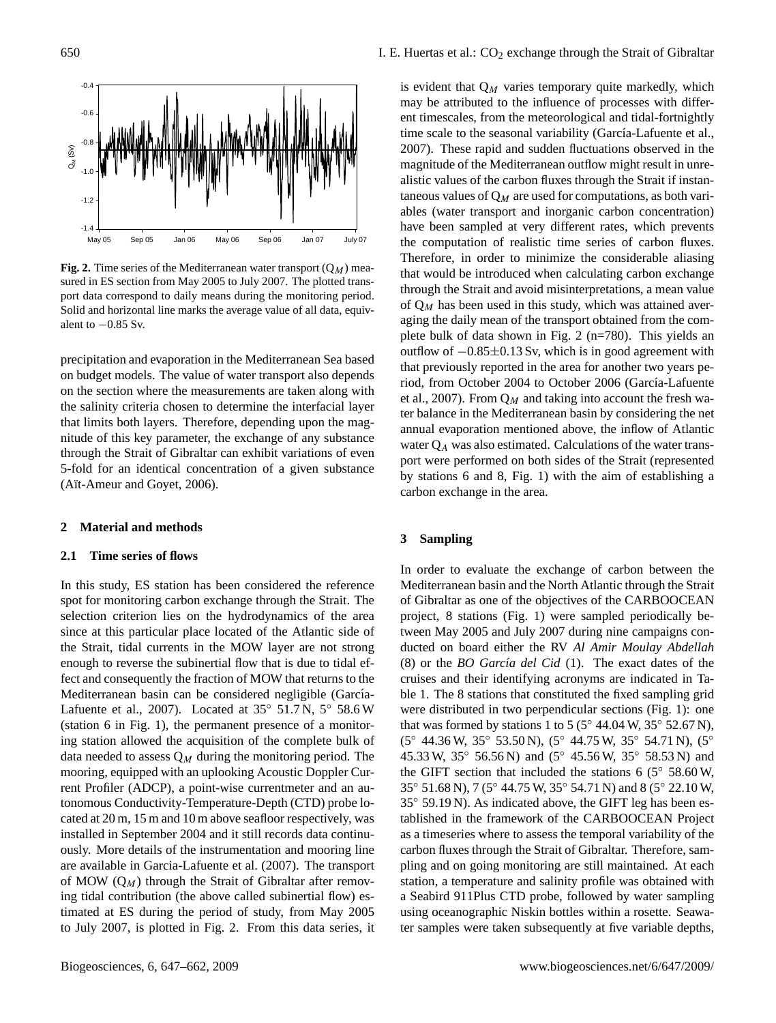

**Fig. 2.** Time series of the Mediterranean water transport  $(Q_M)$  measured in ES section from May 2005 to July 2007. The plotted transport data correspond to daily means during the monitoring period. Solid and horizontal line marks the average value of all data, equivalent to  $-0.85$  Sv.

precipitation and evaporation in the Mediterranean Sea based on budget models. The value of water transport also depends on the section where the measurements are taken along with the salinity criteria chosen to determine the interfacial layer that limits both layers. Therefore, depending upon the magnitude of this key parameter, the exchange of any substance through the Strait of Gibraltar can exhibit variations of even 5-fold for an identical concentration of a given substance (Aït-Ameur and Goyet, 2006).

#### **2 Material and methods**

#### **2.1 Time series of flows**

In this study, ES station has been considered the reference spot for monitoring carbon exchange through the Strait. The selection criterion lies on the hydrodynamics of the area since at this particular place located of the Atlantic side of the Strait, tidal currents in the MOW layer are not strong enough to reverse the subinertial flow that is due to tidal effect and consequently the fraction of MOW that returns to the Mediterranean basin can be considered negligible (García-Lafuente et al., 2007). Located at 35◦ 51.7 N, 5◦ 58.6 W (station 6 in Fig. 1), the permanent presence of a monitoring station allowed the acquisition of the complete bulk of data needed to assess  $Q_M$  during the monitoring period. The mooring, equipped with an uplooking Acoustic Doppler Current Profiler (ADCP), a point-wise currentmeter and an autonomous Conductivity-Temperature-Depth (CTD) probe located at 20 m, 15 m and 10 m above seafloor respectively, was installed in September 2004 and it still records data continuously. More details of the instrumentation and mooring line are available in Garcia-Lafuente et al. (2007). The transport of MOW  $(Q_M)$  through the Strait of Gibraltar after removing tidal contribution (the above called subinertial flow) estimated at ES during the period of study, from May 2005 to July 2007, is plotted in Fig. 2. From this data series, it is evident that  $Q_M$  varies temporary quite markedly, which may be attributed to the influence of processes with different timescales, from the meteorological and tidal-fortnightly time scale to the seasonal variability (García-Lafuente et al., 2007). These rapid and sudden fluctuations observed in the magnitude of the Mediterranean outflow might result in unrealistic values of the carbon fluxes through the Strait if instantaneous values of  $Q_M$  are used for computations, as both variables (water transport and inorganic carbon concentration) have been sampled at very different rates, which prevents the computation of realistic time series of carbon fluxes. Therefore, in order to minimize the considerable aliasing that would be introduced when calculating carbon exchange through the Strait and avoid misinterpretations, a mean value of  $Q_M$  has been used in this study, which was attained averaging the daily mean of the transport obtained from the complete bulk of data shown in Fig. 2 (n=780). This yields an outflow of −0.85±0.13 Sv, which is in good agreement with that previously reported in the area for another two years period, from October 2004 to October 2006 (García-Lafuente et al., 2007). From  $Q_M$  and taking into account the fresh water balance in the Mediterranean basin by considering the net annual evaporation mentioned above, the inflow of Atlantic water  $Q_A$  was also estimated. Calculations of the water transport were performed on both sides of the Strait (represented by stations 6 and 8, Fig. 1) with the aim of establishing a carbon exchange in the area.

## **3 Sampling**

In order to evaluate the exchange of carbon between the Mediterranean basin and the North Atlantic through the Strait of Gibraltar as one of the objectives of the CARBOOCEAN project, 8 stations (Fig. 1) were sampled periodically between May 2005 and July 2007 during nine campaigns conducted on board either the RV *Al Amir Moulay Abdellah* (8) or the *BO García del Cid* (1). The exact dates of the cruises and their identifying acronyms are indicated in Table 1. The 8 stations that constituted the fixed sampling grid were distributed in two perpendicular sections (Fig. 1): one that was formed by stations 1 to 5 ( $5^{\circ}$  44.04 W,  $35^{\circ}$  52.67 N), (5◦ 44.36 W, 35◦ 53.50 N), (5◦ 44.75 W, 35◦ 54.71 N), (5◦ 45.33 W, 35◦ 56.56 N) and (5◦ 45.56 W, 35◦ 58.53 N) and the GIFT section that included the stations 6 ( $5^{\circ}$  58.60 W, 35◦ 51.68 N), 7 (5◦ 44.75 W, 35◦ 54.71 N) and 8 (5◦ 22.10 W, 35◦ 59.19 N). As indicated above, the GIFT leg has been established in the framework of the CARBOOCEAN Project as a timeseries where to assess the temporal variability of the carbon fluxes through the Strait of Gibraltar. Therefore, sampling and on going monitoring are still maintained. At each station, a temperature and salinity profile was obtained with a Seabird 911Plus CTD probe, followed by water sampling using oceanographic Niskin bottles within a rosette. Seawater samples were taken subsequently at five variable depths,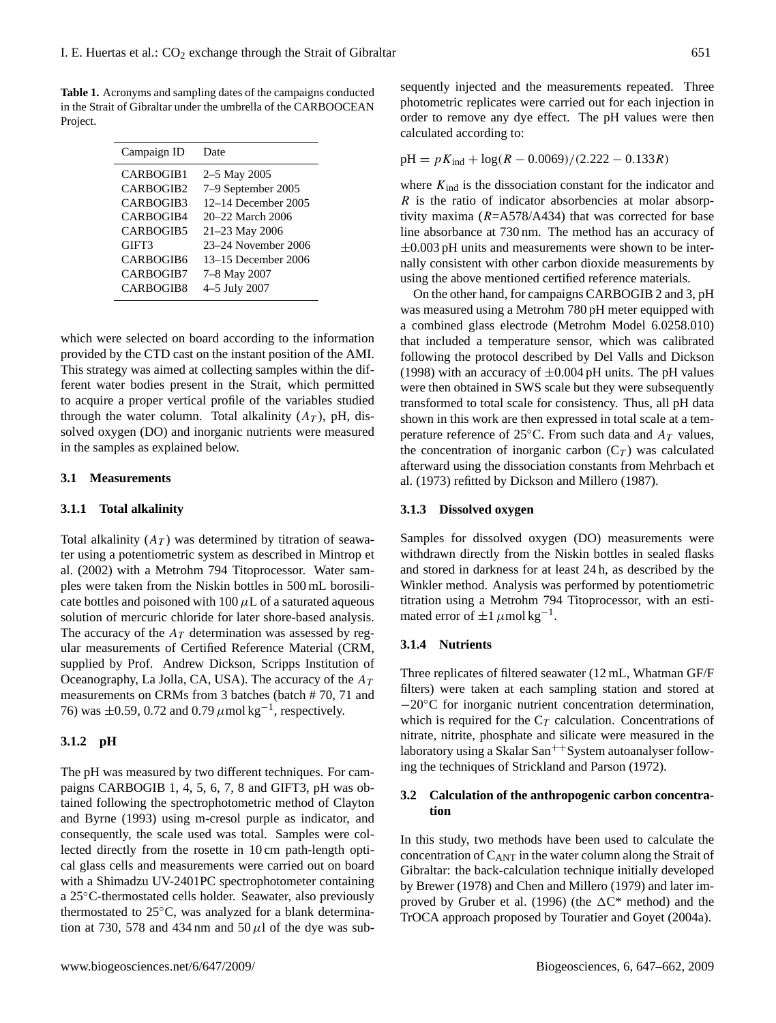**Table 1.** Acronyms and sampling dates of the campaigns conducted in the Strait of Gibraltar under the umbrella of the CARBOOCEAN Project.

| Campaign ID           | Date                |
|-----------------------|---------------------|
| CARBOGIB1             | 2–5 May 2005        |
| CARBOGIB <sub>2</sub> | 7-9 September 2005  |
| CARBOGIB3             | 12-14 December 2005 |
| CARBOGIB4             | 20–22 March 2006    |
| CARBOGIB5             | 21-23 May 2006      |
| GIFT3                 | 23–24 November 2006 |
| CARBOGIB6             | 13–15 December 2006 |
| CARBOGIB7             | 7-8 May 2007        |
| CARBOGIB8             | 4-5 July 2007       |

which were selected on board according to the information provided by the CTD cast on the instant position of the AMI. This strategy was aimed at collecting samples within the different water bodies present in the Strait, which permitted to acquire a proper vertical profile of the variables studied through the water column. Total alkalinity  $(A_T)$ , pH, dissolved oxygen (DO) and inorganic nutrients were measured in the samples as explained below.

## **3.1 Measurements**

## **3.1.1 Total alkalinity**

Total alkalinity  $(A_T)$  was determined by titration of seawater using a potentiometric system as described in Mintrop et al. (2002) with a Metrohm 794 Titoprocessor. Water samples were taken from the Niskin bottles in 500 mL borosilicate bottles and poisoned with  $100 \mu L$  of a saturated aqueous solution of mercuric chloride for later shore-based analysis. The accuracy of the  $A_T$  determination was assessed by regular measurements of Certified Reference Material (CRM, supplied by Prof. Andrew Dickson, Scripps Institution of Oceanography, La Jolla, CA, USA). The accuracy of the  $A_T$ measurements on CRMs from 3 batches (batch # 70, 71 and 76) was  $\pm 0.59$ , 0.72 and 0.79  $\mu$ mol kg<sup>-1</sup>, respectively.

# **3.1.2 pH**

The pH was measured by two different techniques. For campaigns CARBOGIB 1, 4, 5, 6, 7, 8 and GIFT3, pH was obtained following the spectrophotometric method of Clayton and Byrne (1993) using m-cresol purple as indicator, and consequently, the scale used was total. Samples were collected directly from the rosette in 10 cm path-length optical glass cells and measurements were carried out on board with a Shimadzu UV-2401PC spectrophotometer containing a 25◦C-thermostated cells holder. Seawater, also previously thermostated to 25◦C, was analyzed for a blank determination at 730, 578 and 434 nm and 50  $\mu$ l of the dye was subsequently injected and the measurements repeated. Three photometric replicates were carried out for each injection in order to remove any dye effect. The pH values were then calculated according to:

$$
pH = pK_{\text{ind}} + \log(R - 0.0069)/(2.222 - 0.133R)
$$

where  $K_{\text{ind}}$  is the dissociation constant for the indicator and  $R$  is the ratio of indicator absorbencies at molar absorptivity maxima  $(R=4578/A434)$  that was corrected for base line absorbance at 730 nm. The method has an accuracy of  $\pm 0.003$  pH units and measurements were shown to be internally consistent with other carbon dioxide measurements by using the above mentioned certified reference materials.

On the other hand, for campaigns CARBOGIB 2 and 3, pH was measured using a Metrohm 780 pH meter equipped with a combined glass electrode (Metrohm Model 6.0258.010) that included a temperature sensor, which was calibrated following the protocol described by Del Valls and Dickson (1998) with an accuracy of  $\pm 0.004$  pH units. The pH values were then obtained in SWS scale but they were subsequently transformed to total scale for consistency. Thus, all pH data shown in this work are then expressed in total scale at a temperature reference of 25 $\degree$ C. From such data and  $A_T$  values, the concentration of inorganic carbon  $(C_T)$  was calculated afterward using the dissociation constants from Mehrbach et al. (1973) refitted by Dickson and Millero (1987).

#### **3.1.3 Dissolved oxygen**

Samples for dissolved oxygen (DO) measurements were withdrawn directly from the Niskin bottles in sealed flasks and stored in darkness for at least 24 h, as described by the Winkler method. Analysis was performed by potentiometric titration using a Metrohm 794 Titoprocessor, with an estimated error of  $\pm 1 \mu$ mol kg<sup>-1</sup>.

## **3.1.4 Nutrients**

Three replicates of filtered seawater (12 mL, Whatman GF/F filters) were taken at each sampling station and stored at −20◦C for inorganic nutrient concentration determination, which is required for the  $C_T$  calculation. Concentrations of nitrate, nitrite, phosphate and silicate were measured in the laboratory using a Skalar San<sup>++</sup>System autoanalyser following the techniques of Strickland and Parson (1972).

# **3.2 Calculation of the anthropogenic carbon concentration**

In this study, two methods have been used to calculate the concentration of  $C_{\text{ANT}}$  in the water column along the Strait of Gibraltar: the back-calculation technique initially developed by Brewer (1978) and Chen and Millero (1979) and later improved by Gruber et al. (1996) (the  $\Delta C^*$  method) and the TrOCA approach proposed by Touratier and Goyet (2004a).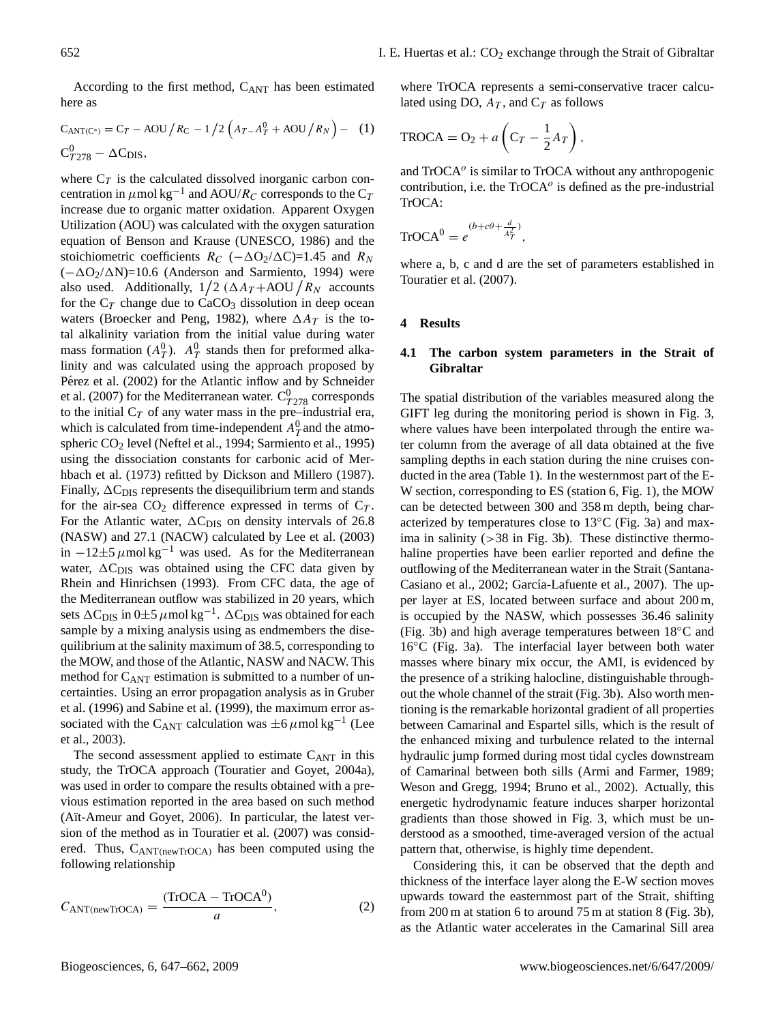According to the first method, CANT has been estimated here as

$$
C_{\text{ANT}(C^*)} = C_T - \text{AOU} / R_C - 1 / 2 \left( A_{T} - A_{T}^0 + \text{AOU} / R_N \right) - (1)
$$
  

$$
C_{T278}^0 - \Delta C_{\text{DIS}},
$$

where  $C_T$  is the calculated dissolved inorganic carbon concentration in  $\mu$ mol kg<sup>-1</sup> and AOU/R<sub>C</sub> corresponds to the C<sub>7</sub> increase due to organic matter oxidation. Apparent Oxygen Utilization (AOU) was calculated with the oxygen saturation equation of Benson and Krause (UNESCO, 1986) and the stoichiometric coefficients  $R_C$  (− $\Delta$ O<sub>2</sub>/ $\Delta$ C)=1.45 and  $R_N$  $(-\Delta O_2/\Delta N)$ =10.6 (Anderson and Sarmiento, 1994) were also used. Additionally,  $1/2$  ( $\Delta A_T + \text{AOU}/R_N$  accounts for the  $C_T$  change due to  $CaCO<sub>3</sub>$  dissolution in deep ocean waters (Broecker and Peng, 1982), where  $\Delta A_T$  is the total alkalinity variation from the initial value during water mass formation ( $A_T^0$ ).  $A_T^0$  stands then for preformed alkalinity and was calculated using the approach proposed by Pérez et al. (2002) for the Atlantic inflow and by Schneider et al. (2007) for the Mediterranean water.  $C_{T278}^0$  corresponds to the initial  $C_T$  of any water mass in the pre–industrial era, which is calculated from time-independent  $A_T^0$  and the atmospheric CO<sub>2</sub> level (Neftel et al., 1994; Sarmiento et al., 1995) using the dissociation constants for carbonic acid of Merhbach et al. (1973) refitted by Dickson and Millero (1987). Finally,  $\Delta C_{\text{DIS}}$  represents the disequilibrium term and stands for the air-sea  $CO<sub>2</sub>$  difference expressed in terms of  $C<sub>T</sub>$ . For the Atlantic water,  $\Delta C_{\text{DIS}}$  on density intervals of 26.8 (NASW) and 27.1 (NACW) calculated by Lee et al. (2003) in  $-12±5 \mu$ mol kg<sup>-1</sup> was used. As for the Mediterranean water,  $\Delta C_{\text{DIS}}$  was obtained using the CFC data given by Rhein and Hinrichsen (1993). From CFC data, the age of the Mediterranean outflow was stabilized in 20 years, which sets  $\Delta C_{\rm DIS}$  in 0 $\pm 5 \mu$ mol kg<sup>-1</sup>.  $\Delta C_{\rm DIS}$  was obtained for each sample by a mixing analysis using as endmembers the disequilibrium at the salinity maximum of 38.5, corresponding to the MOW, and those of the Atlantic, NASW and NACW. This method for  $C_{\text{ANT}}$  estimation is submitted to a number of uncertainties. Using an error propagation analysis as in Gruber et al. (1996) and Sabine et al. (1999), the maximum error associated with the C<sub>ANT</sub> calculation was  $\pm 6 \,\mu$ mol kg<sup>-1</sup> (Lee et al., 2003).

The second assessment applied to estimate  $C_{\text{ANT}}$  in this study, the TrOCA approach (Touratier and Goyet, 2004a), was used in order to compare the results obtained with a previous estimation reported in the area based on such method (Aït-Ameur and Goyet, 2006). In particular, the latest version of the method as in Touratier et al. (2007) was considered. Thus, CANT(newTrOCA) has been computed using the following relationship

$$
C_{\text{ANT(new TroCA)}} = \frac{(\text{TrOCA} - \text{TrOCA}^0)}{a},\tag{2}
$$

where TrOCA represents a semi-conservative tracer calculated using DO,  $A_T$ , and  $C_T$  as follows

$$
TROCA = O_2 + a\left(C_T - \frac{1}{2}A_T\right),\,
$$

and  $TrOCA<sup>o</sup>$  is similar to  $TrOCA$  without any anthropogenic contribution, i.e. the  $TrOCA<sup>o</sup>$  is defined as the pre-industrial TrOCA:

$$
\text{TrOCA}^{0} = e^{(b+c\theta + \frac{d}{A_{T}^{2}})},
$$

where a, b, c and d are the set of parameters established in Touratier et al. (2007).

#### **4 Results**

# **4.1 The carbon system parameters in the Strait of Gibraltar**

The spatial distribution of the variables measured along the GIFT leg during the monitoring period is shown in Fig. 3, where values have been interpolated through the entire water column from the average of all data obtained at the five sampling depths in each station during the nine cruises conducted in the area (Table 1). In the westernmost part of the E-W section, corresponding to ES (station 6, Fig. 1), the MOW can be detected between 300 and 358 m depth, being characterized by temperatures close to 13◦C (Fig. 3a) and maxima in salinity  $(>\frac{38}{9}$  in Fig. 3b). These distinctive thermohaline properties have been earlier reported and define the outflowing of the Mediterranean water in the Strait (Santana-Casiano et al., 2002; García-Lafuente et al., 2007). The upper layer at ES, located between surface and about 200 m, is occupied by the NASW, which possesses 36.46 salinity (Fig. 3b) and high average temperatures between 18◦C and 16◦C (Fig. 3a). The interfacial layer between both water masses where binary mix occur, the AMI, is evidenced by the presence of a striking halocline, distinguishable throughout the whole channel of the strait (Fig. 3b). Also worth mentioning is the remarkable horizontal gradient of all properties between Camarinal and Espartel sills, which is the result of the enhanced mixing and turbulence related to the internal hydraulic jump formed during most tidal cycles downstream of Camarinal between both sills (Armi and Farmer, 1989; Weson and Gregg, 1994; Bruno et al., 2002). Actually, this energetic hydrodynamic feature induces sharper horizontal gradients than those showed in Fig. 3, which must be understood as a smoothed, time-averaged version of the actual pattern that, otherwise, is highly time dependent.

Considering this, it can be observed that the depth and thickness of the interface layer along the E-W section moves upwards toward the easternmost part of the Strait, shifting from 200 m at station 6 to around 75 m at station 8 (Fig. 3b), as the Atlantic water accelerates in the Camarinal Sill area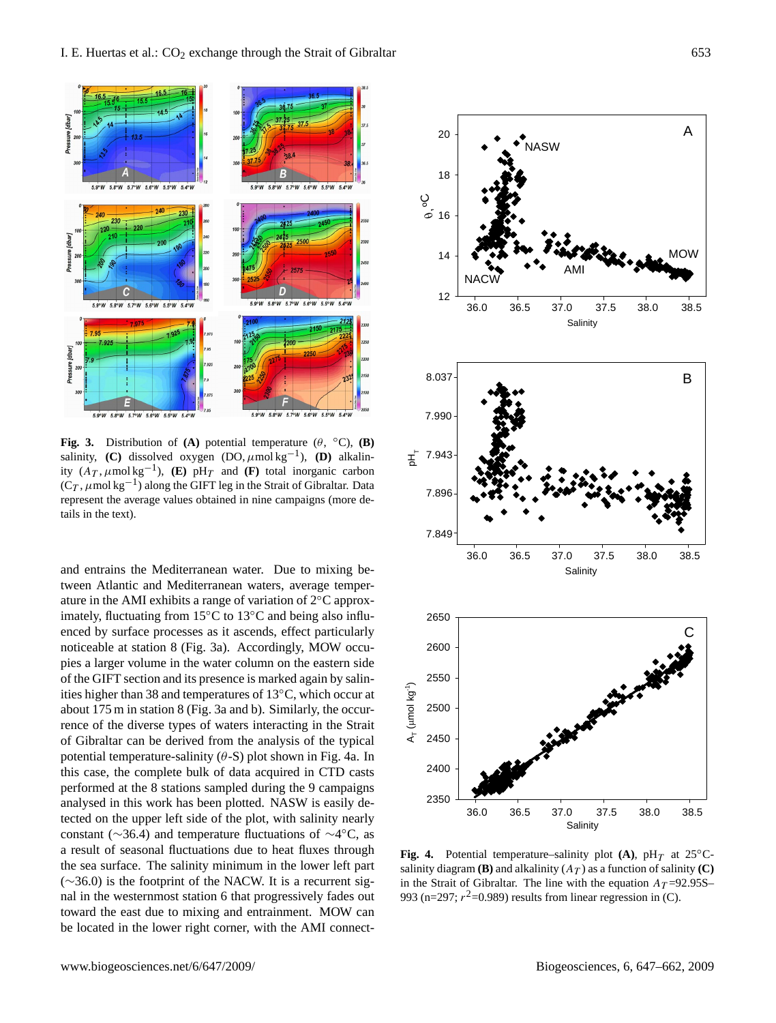

**Fig. 3.** Distribution of **(A)** potential temperature  $(\theta, \degree C)$ , **(B)** salinity, **(C)** dissolved oxygen  $(DO, \mu mol kg^{-1})$ , **(D)** alkalinity  $(A_T, \mu \text{mol kg}^{-1})$ , **(E)** pH<sub>T</sub> and **(F)** total inorganic carbon  $(C_T, \mu \text{mol kg}^{-1})$  along the GIFT leg in the Strait of Gibraltar. Data represent the average values obtained in nine campaigns (more details in the text).

and entrains the Mediterranean water. Due to mixing between Atlantic and Mediterranean waters, average temperature in the AMI exhibits a range of variation of 2◦C approximately, fluctuating from 15◦C to 13◦C and being also influenced by surface processes as it ascends, effect particularly noticeable at station 8 (Fig. 3a). Accordingly, MOW occupies a larger volume in the water column on the eastern side of the GIFT section and its presence is marked again by salinities higher than 38 and temperatures of 13◦C, which occur at about 175 m in station 8 (Fig. 3a and b). Similarly, the occurrence of the diverse types of waters interacting in the Strait of Gibraltar can be derived from the analysis of the typical potential temperature-salinity  $(\theta - S)$  plot shown in Fig. 4a. In this case, the complete bulk of data acquired in CTD casts performed at the 8 stations sampled during the 9 campaigns analysed in this work has been plotted. NASW is easily detected on the upper left side of the plot, with salinity nearly constant (∼36.4) and temperature fluctuations of ∼4 ◦C, as a result of seasonal fluctuations due to heat fluxes through the sea surface. The salinity minimum in the lower left part (∼36.0) is the footprint of the NACW. It is a recurrent signal in the westernmost station 6 that progressively fades out toward the east due to mixing and entrainment. MOW can be located in the lower right corner, with the AMI connect-



**Fig. 4.** Potential temperature–salinity plot **(A)**,  $pH_T$  at 25<sup>°</sup>Csalinity diagram **(B)** and alkalinity  $(A_T)$  as a function of salinity **(C)** in the Strait of Gibraltar. The line with the equation  $A_T = 92.95S$ – 993 (n=297;  $r^2$ =0.989) results from linear regression in (C).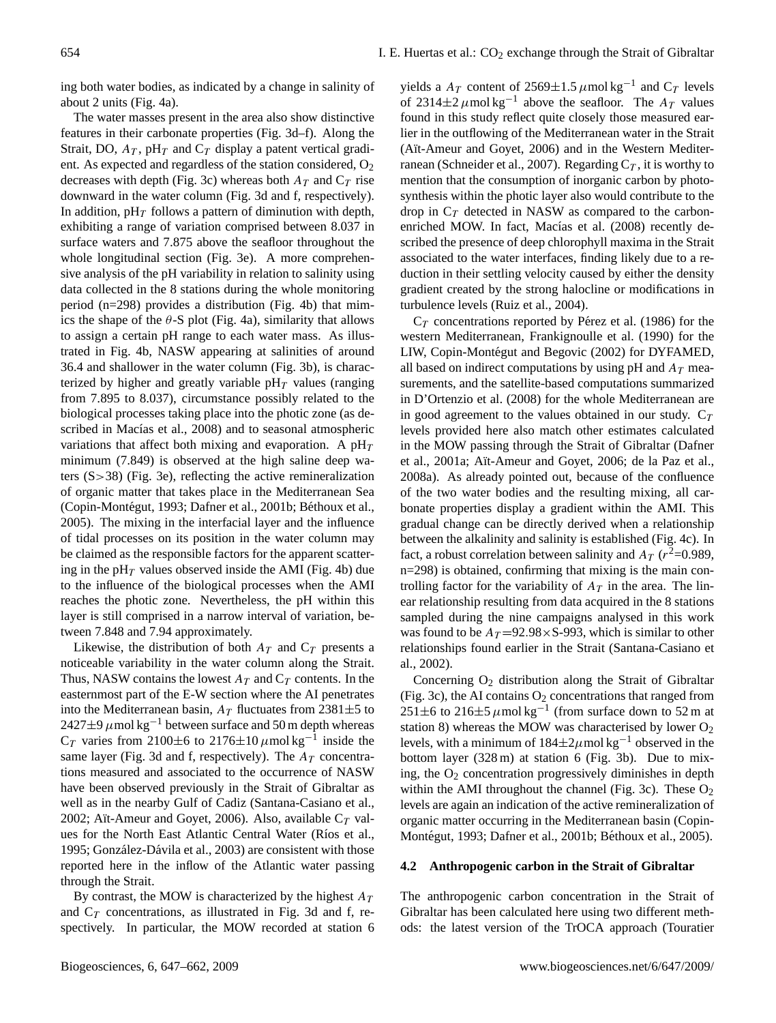ing both water bodies, as indicated by a change in salinity of about 2 units (Fig. 4a).

The water masses present in the area also show distinctive features in their carbonate properties (Fig. 3d–f). Along the Strait, DO,  $A_T$ , pH $_T$  and  $C_T$  display a patent vertical gradient. As expected and regardless of the station considered,  $O<sub>2</sub>$ decreases with depth (Fig. 3c) whereas both  $A_T$  and  $C_T$  rise downward in the water column (Fig. 3d and f, respectively). In addition,  $pH_T$  follows a pattern of diminution with depth, exhibiting a range of variation comprised between 8.037 in surface waters and 7.875 above the seafloor throughout the whole longitudinal section (Fig. 3e). A more comprehensive analysis of the pH variability in relation to salinity using data collected in the 8 stations during the whole monitoring period (n=298) provides a distribution (Fig. 4b) that mimics the shape of the  $\theta$ -S plot (Fig. 4a), similarity that allows to assign a certain pH range to each water mass. As illustrated in Fig. 4b, NASW appearing at salinities of around 36.4 and shallower in the water column (Fig. 3b), is characterized by higher and greatly variable  $pH<sub>T</sub>$  values (ranging from 7.895 to 8.037), circumstance possibly related to the biological processes taking place into the photic zone (as described in Macías et al., 2008) and to seasonal atmospheric variations that affect both mixing and evaporation. A  $pH_T$ minimum (7.849) is observed at the high saline deep waters (S>38) (Fig. 3e), reflecting the active remineralization of organic matter that takes place in the Mediterranean Sea (Copin-Montégut, 1993; Dafner et al., 2001b; Béthoux et al., 2005). The mixing in the interfacial layer and the influence of tidal processes on its position in the water column may be claimed as the responsible factors for the apparent scattering in the  $pH_T$  values observed inside the AMI (Fig. 4b) due to the influence of the biological processes when the AMI reaches the photic zone. Nevertheless, the pH within this layer is still comprised in a narrow interval of variation, between 7.848 and 7.94 approximately.

Likewise, the distribution of both  $A_T$  and  $C_T$  presents a noticeable variability in the water column along the Strait. Thus, NASW contains the lowest  $A_T$  and  $C_T$  contents. In the easternmost part of the E-W section where the AI penetrates into the Mediterranean basin,  $A_T$  fluctuates from 2381 $\pm$ 5 to  $2427±9 \mu$ mol kg<sup>-1</sup> between surface and 50 m depth whereas C<sub>T</sub> varies from 2100 $\pm$ 6 to 2176 $\pm$ 10  $\mu$ mol kg<sup>-1</sup> inside the same layer (Fig. 3d and f, respectively). The  $A_T$  concentrations measured and associated to the occurrence of NASW have been observed previously in the Strait of Gibraltar as well as in the nearby Gulf of Cadiz (Santana-Casiano et al., 2002; Aït-Ameur and Goyet, 2006). Also, available  $C_T$  values for the North East Atlantic Central Water (Ríos et al., 1995; González-Dávila et al., 2003) are consistent with those reported here in the inflow of the Atlantic water passing through the Strait.

By contrast, the MOW is characterized by the highest  $A_T$ and  $C_T$  concentrations, as illustrated in Fig. 3d and f, respectively. In particular, the MOW recorded at station 6

yields a  $A_T$  content of 2569±1.5  $\mu$ mol kg<sup>-1</sup> and C<sub>T</sub> levels of 2314 $\pm$ 2  $\mu$ mol kg<sup>-1</sup> above the seafloor. The  $A_T$  values found in this study reflect quite closely those measured earlier in the outflowing of the Mediterranean water in the Strait (Aït-Ameur and Goyet, 2006) and in the Western Mediterranean (Schneider et al., 2007). Regarding  $C_T$ , it is worthy to mention that the consumption of inorganic carbon by photosynthesis within the photic layer also would contribute to the drop in  $C_T$  detected in NASW as compared to the carbonenriched MOW. In fact, Macías et al. (2008) recently described the presence of deep chlorophyll maxima in the Strait associated to the water interfaces, finding likely due to a reduction in their settling velocity caused by either the density gradient created by the strong halocline or modifications in turbulence levels (Ruiz et al., 2004).

 $C_T$  concentrations reported by Pérez et al. (1986) for the western Mediterranean, Frankignoulle et al. (1990) for the LIW, Copin-Montégut and Begovic (2002) for DYFAMED, all based on indirect computations by using pH and  $A_T$  measurements, and the satellite-based computations summarized in D'Ortenzio et al. (2008) for the whole Mediterranean are in good agreement to the values obtained in our study.  $C_T$ levels provided here also match other estimates calculated in the MOW passing through the Strait of Gibraltar (Dafner et al., 2001a; Aït-Ameur and Goyet, 2006; de la Paz et al., 2008a). As already pointed out, because of the confluence of the two water bodies and the resulting mixing, all carbonate properties display a gradient within the AMI. This gradual change can be directly derived when a relationship between the alkalinity and salinity is established (Fig. 4c). In fact, a robust correlation between salinity and  $A_T$  ( $r^2 = 0.989$ , n=298) is obtained, confirming that mixing is the main controlling factor for the variability of  $A_T$  in the area. The linear relationship resulting from data acquired in the 8 stations sampled during the nine campaigns analysed in this work was found to be  $A_T = 92.98 \times S - 993$ , which is similar to other relationships found earlier in the Strait (Santana-Casiano et al., 2002).

Concerning  $O_2$  distribution along the Strait of Gibraltar (Fig. 3c), the AI contains  $O_2$  concentrations that ranged from 251±6 to 216±5  $\mu$ mol kg<sup>-1</sup> (from surface down to 52 m at station 8) whereas the MOW was characterised by lower  $O<sub>2</sub>$ levels, with a minimum of  $184\pm2\mu$  mol kg<sup>-1</sup> observed in the bottom layer (328 m) at station 6 (Fig. 3b). Due to mixing, the  $O<sub>2</sub>$  concentration progressively diminishes in depth within the AMI throughout the channel (Fig. 3c). These  $O_2$ levels are again an indication of the active remineralization of organic matter occurring in the Mediterranean basin (Copin-Montégut, 1993; Dafner et al., 2001b; Béthoux et al., 2005).

#### **4.2 Anthropogenic carbon in the Strait of Gibraltar**

The anthropogenic carbon concentration in the Strait of Gibraltar has been calculated here using two different methods: the latest version of the TrOCA approach (Touratier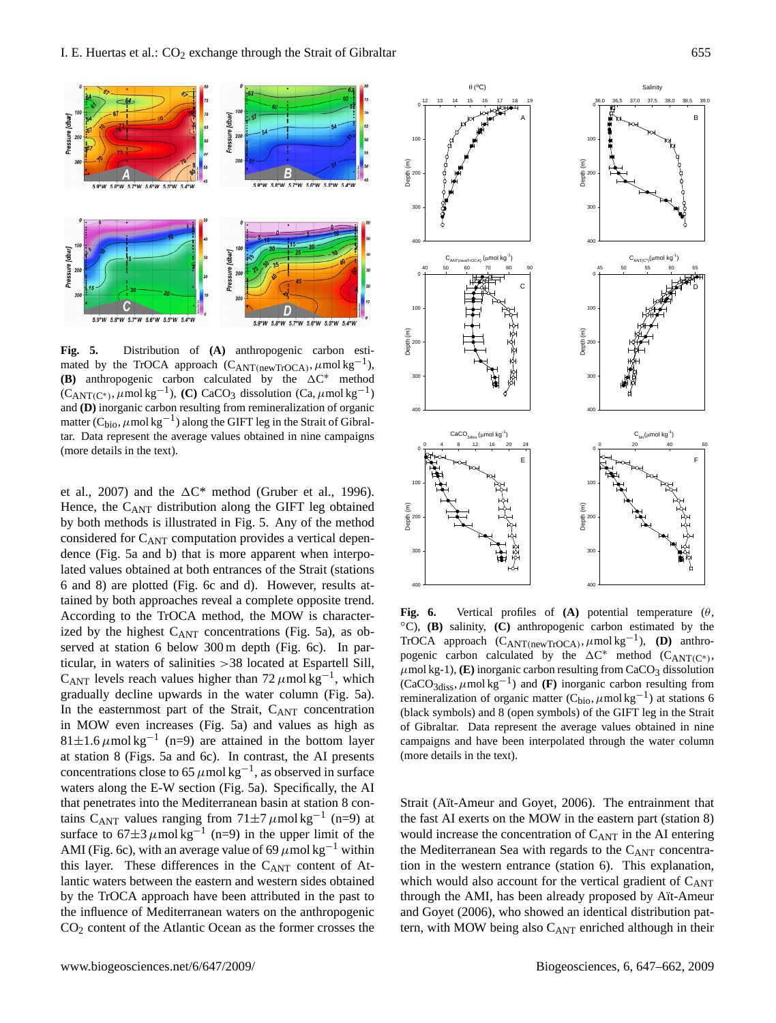

**Fig. 5.** Distribution of **(A)** anthropogenic carbon estimated by the TrOCA approach  $(C_{ANT(new TrOCA)}, \mu \text{mol kg}^{-1})$ ,  $(B)$  anthropogenic carbon calculated by the  $\Delta C^*$  method  $(C_{\text{ANT}(C^*)}, \mu \text{mol kg}^{-1})$ , **(C)** CaCO<sub>3</sub> dissolution  $(Ca, \mu \text{mol kg}^{-1})$ and **(D)** inorganic carbon resulting from remineralization of organic matter ( $C_{bio}$ ,  $\mu$ mol kg<sup>-1</sup>) along the GIFT leg in the Strait of Gibraltar. Data represent the average values obtained in nine campaigns (more details in the text).

et al., 2007) and the  $\Delta C^*$  method (Gruber et al., 1996). Hence, the  $C_{\text{ANT}}$  distribution along the GIFT leg obtained by both methods is illustrated in Fig. 5. Any of the method considered for CANT computation provides a vertical dependence (Fig. 5a and b) that is more apparent when interpolated values obtained at both entrances of the Strait (stations 6 and 8) are plotted (Fig. 6c and d). However, results attained by both approaches reveal a complete opposite trend. According to the TrOCA method, the MOW is characterized by the highest CANT concentrations (Fig. 5a), as observed at station 6 below 300 m depth (Fig. 6c). In particular, in waters of salinities >38 located at Espartell Sill, C<sub>ANT</sub> levels reach values higher than  $72 \mu$ mol kg<sup>-1</sup>, which gradually decline upwards in the water column (Fig. 5a). In the easternmost part of the Strait, CANT concentration in MOW even increases (Fig. 5a) and values as high as 81±1.6  $\mu$ mol kg<sup>-1</sup> (n=9) are attained in the bottom layer at station 8 (Figs. 5a and 6c). In contrast, the AI presents concentrations close to 65  $\mu$ mol kg<sup>-1</sup>, as observed in surface waters along the E-W section (Fig. 5a). Specifically, the AI that penetrates into the Mediterranean basin at station 8 contains C<sub>ANT</sub> values ranging from  $71\pm7 \mu$ mol kg<sup>-1</sup> (n=9) at surface to  $67\pm3 \mu$ mol kg<sup>-1</sup> (n=9) in the upper limit of the AMI (Fig. 6c), with an average value of 69  $\mu$  mol kg<sup>-1</sup> within this layer. These differences in the  $C_{\text{ANT}}$  content of Atlantic waters between the eastern and western sides obtained by the TrOCA approach have been attributed in the past to the influence of Mediterranean waters on the anthropogenic CO<sup>2</sup> content of the Atlantic Ocean as the former crosses the



the fast AI exerts on the MOW in the eastern part (station 8) would increase the concentration of  $C_{\text{ANT}}$  in the AI entering the Mediterranean Sea with regards to the  $C_{\text{ANT}}$  concentration in the western entrance (station 6). This explanation, which would also account for the vertical gradient of  $C_{\text{ANT}}$ through the AMI, has been already proposed by Aït-Ameur and Goyet (2006), who showed an identical distribution pattern, with MOW being also CANT enriched although in their



θ (ºC)

Depth (m)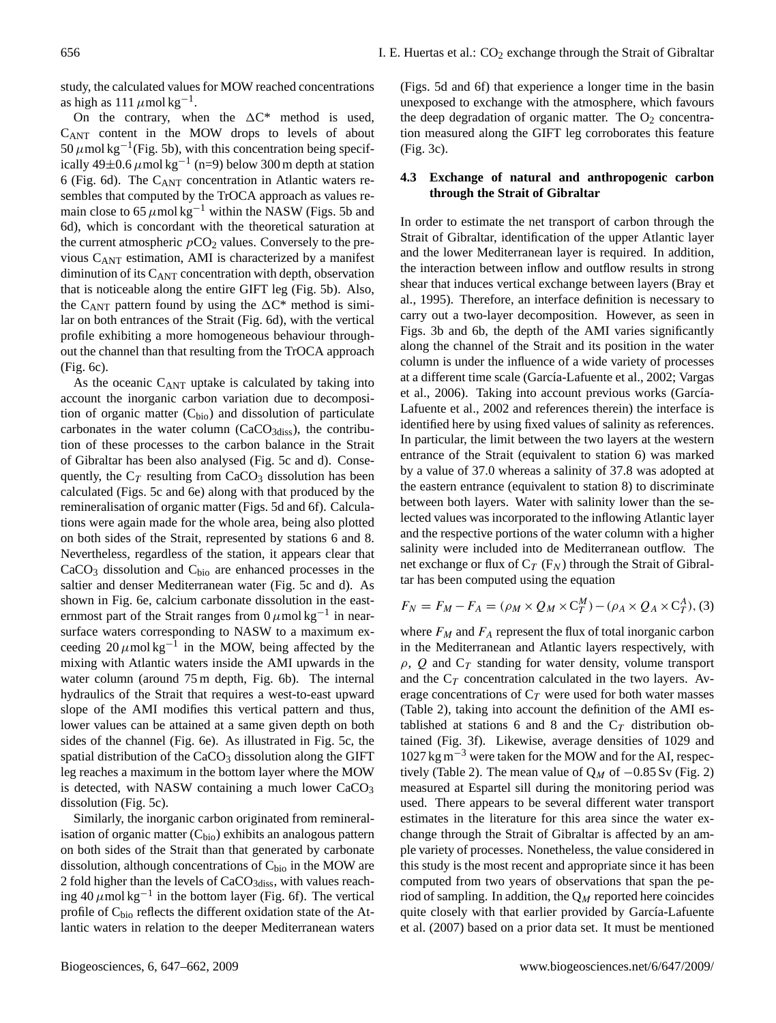study, the calculated values for MOW reached concentrations as high as  $111 \mu$ mol kg<sup>-1</sup>.

On the contrary, when the  $\Delta C^*$  method is used, CANT content in the MOW drops to levels of about 50  $\mu$ mol kg<sup>-1</sup>(Fig. 5b), with this concentration being specifically 49 $\pm$ 0.6  $\mu$ mol kg<sup>-1</sup> (n=9) below 300 m depth at station 6 (Fig. 6d). The  $C_{\text{ANT}}$  concentration in Atlantic waters resembles that computed by the TrOCA approach as values remain close to 65  $\mu$ mol kg<sup>-1</sup> within the NASW (Figs. 5b and 6d), which is concordant with the theoretical saturation at the current atmospheric  $pCO<sub>2</sub>$  values. Conversely to the previous CANT estimation, AMI is characterized by a manifest diminution of its CANT concentration with depth, observation that is noticeable along the entire GIFT leg (Fig. 5b). Also, the C<sub>ANT</sub> pattern found by using the  $\Delta C^*$  method is similar on both entrances of the Strait (Fig. 6d), with the vertical profile exhibiting a more homogeneous behaviour throughout the channel than that resulting from the TrOCA approach (Fig. 6c).

As the oceanic  $C_{\text{ANT}}$  uptake is calculated by taking into account the inorganic carbon variation due to decomposition of organic matter  $(C_{bio})$  and dissolution of particulate carbonates in the water column ( $CaCO<sub>3diss</sub>$ ), the contribution of these processes to the carbon balance in the Strait of Gibraltar has been also analysed (Fig. 5c and d). Consequently, the  $C_T$  resulting from CaCO<sub>3</sub> dissolution has been calculated (Figs. 5c and 6e) along with that produced by the remineralisation of organic matter (Figs. 5d and 6f). Calculations were again made for the whole area, being also plotted on both sides of the Strait, represented by stations 6 and 8. Nevertheless, regardless of the station, it appears clear that  $CaCO<sub>3</sub>$  dissolution and  $C<sub>bio</sub>$  are enhanced processes in the saltier and denser Mediterranean water (Fig. 5c and d). As shown in Fig. 6e, calcium carbonate dissolution in the easternmost part of the Strait ranges from  $0 \mu$ mol kg<sup>-1</sup> in nearsurface waters corresponding to NASW to a maximum exceeding 20  $\mu$ mol kg<sup>-1</sup> in the MOW, being affected by the mixing with Atlantic waters inside the AMI upwards in the water column (around 75 m depth, Fig. 6b). The internal hydraulics of the Strait that requires a west-to-east upward slope of the AMI modifies this vertical pattern and thus, lower values can be attained at a same given depth on both sides of the channel (Fig. 6e). As illustrated in Fig. 5c, the spatial distribution of the  $CaCO<sub>3</sub>$  dissolution along the GIFT leg reaches a maximum in the bottom layer where the MOW is detected, with NASW containing a much lower  $CaCO<sub>3</sub>$ dissolution (Fig. 5c).

Similarly, the inorganic carbon originated from remineralisation of organic matter  $(C_{bio})$  exhibits an analogous pattern on both sides of the Strait than that generated by carbonate dissolution, although concentrations of  $C<sub>bio</sub>$  in the MOW are 2 fold higher than the levels of CaCO<sub>3diss</sub>, with values reaching 40  $\mu$ mol kg<sup>-1</sup> in the bottom layer (Fig. 6f). The vertical profile of C<sub>bio</sub> reflects the different oxidation state of the Atlantic waters in relation to the deeper Mediterranean waters (Figs. 5d and 6f) that experience a longer time in the basin unexposed to exchange with the atmosphere, which favours the deep degradation of organic matter. The  $O_2$  concentration measured along the GIFT leg corroborates this feature (Fig. 3c).

# **4.3 Exchange of natural and anthropogenic carbon through the Strait of Gibraltar**

In order to estimate the net transport of carbon through the Strait of Gibraltar, identification of the upper Atlantic layer and the lower Mediterranean layer is required. In addition, the interaction between inflow and outflow results in strong shear that induces vertical exchange between layers (Bray et al., 1995). Therefore, an interface definition is necessary to carry out a two-layer decomposition. However, as seen in Figs. 3b and 6b, the depth of the AMI varies significantly along the channel of the Strait and its position in the water column is under the influence of a wide variety of processes at a different time scale (García-Lafuente et al., 2002; Vargas et al., 2006). Taking into account previous works (García-Lafuente et al., 2002 and references therein) the interface is identified here by using fixed values of salinity as references. In particular, the limit between the two layers at the western entrance of the Strait (equivalent to station 6) was marked by a value of 37.0 whereas a salinity of 37.8 was adopted at the eastern entrance (equivalent to station 8) to discriminate between both layers. Water with salinity lower than the selected values was incorporated to the inflowing Atlantic layer and the respective portions of the water column with a higher salinity were included into de Mediterranean outflow. The net exchange or flux of  $C_T$  (F<sub>N</sub>) through the Strait of Gibraltar has been computed using the equation

$$
F_N = F_M - F_A = (\rho_M \times Q_M \times C_T^M) - (\rho_A \times Q_A \times C_T^A),
$$
 (3)

where  $F_M$  and  $F_A$  represent the flux of total inorganic carbon in the Mediterranean and Atlantic layers respectively, with  $\rho$ , Q and  $C_T$  standing for water density, volume transport and the  $C_T$  concentration calculated in the two layers. Average concentrations of  $C_T$  were used for both water masses (Table 2), taking into account the definition of the AMI established at stations 6 and 8 and the  $C_T$  distribution obtained (Fig. 3f). Likewise, average densities of 1029 and  $1027 \text{ kg m}^{-3}$  were taken for the MOW and for the AI, respectively (Table 2). The mean value of  $Q_M$  of  $-0.85$  Sv (Fig. 2) measured at Espartel sill during the monitoring period was used. There appears to be several different water transport estimates in the literature for this area since the water exchange through the Strait of Gibraltar is affected by an ample variety of processes. Nonetheless, the value considered in this study is the most recent and appropriate since it has been computed from two years of observations that span the period of sampling. In addition, the  $Q_M$  reported here coincides quite closely with that earlier provided by García-Lafuente et al. (2007) based on a prior data set. It must be mentioned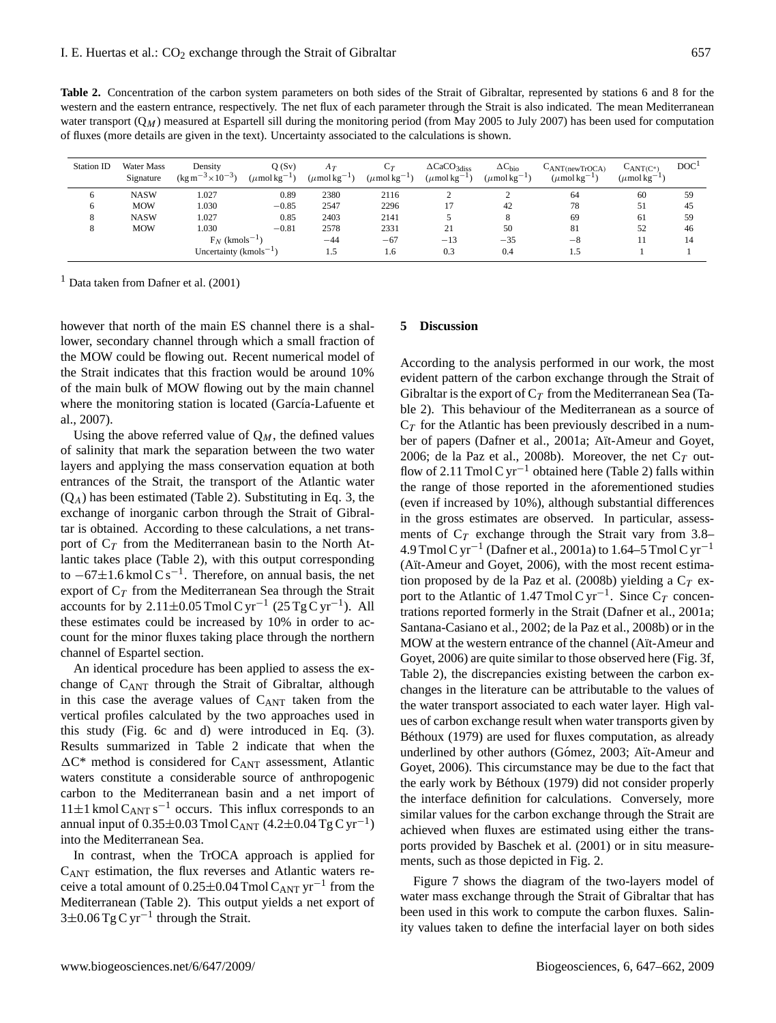**Table 2.** Concentration of the carbon system parameters on both sides of the Strait of Gibraltar, represented by stations 6 and 8 for the western and the eastern entrance, respectively. The net flux of each parameter through the Strait is also indicated. The mean Mediterranean water transport  $(Q_M)$  measured at Espartell sill during the monitoring period (from May 2005 to July 2007) has been used for computation of fluxes (more details are given in the text). Uncertainty associated to the calculations is shown.

| Station ID | Water Mass<br>Signature | Density<br>$(\text{kg m}^{-3} \times 10^{-3})$ | Q(Sv)<br>$(\mu$ mol kg <sup>-1</sup> ) | $A_T$<br>$(\mu$ mol kg <sup>-1</sup> ) | $C_T$<br>$(\mu$ mol kg <sup>-1</sup> ) | $\triangle$ CaCO <sub>3diss</sub><br>$(\mu$ mol kg <sup>-1</sup> ) | $\Delta C_{bio}$<br>$(\mu$ mol kg <sup>-1</sup> ) | $C_{\text{ANT}(newTroCA)}$<br>$(\mu$ mol kg <sup>-1</sup> ) | $C_{\text{ANT}(C^*)}$<br>$(\mu$ mol kg <sup>-1</sup> | DOC <sup>1</sup> |
|------------|-------------------------|------------------------------------------------|----------------------------------------|----------------------------------------|----------------------------------------|--------------------------------------------------------------------|---------------------------------------------------|-------------------------------------------------------------|------------------------------------------------------|------------------|
| 6          | <b>NASW</b>             | 1.027                                          | 0.89                                   | 2380                                   | 2116                                   |                                                                    |                                                   | 64                                                          | 60                                                   | 59               |
| 6          | <b>MOW</b>              | 1.030                                          | $-0.85$                                | 2547                                   | 2296                                   |                                                                    | 42                                                | 78                                                          | 51                                                   | 45               |
| $\sim$     | <b>NASW</b>             | 1.027                                          | 0.85                                   | 2403                                   | 2141                                   |                                                                    | 8                                                 | 69                                                          | 61                                                   | 59               |
|            | <b>MOW</b>              | 1.030                                          | $-0.81$                                | 2578                                   | 2331                                   | 21                                                                 | 50                                                | 81                                                          | 52                                                   | 46               |
|            |                         | $F_N$ (kmols <sup>-1</sup> )                   |                                        | $-44$                                  | $-67$                                  | $-13$                                                              | $-35$                                             | $-8$                                                        |                                                      | 14               |
|            |                         | Uncertainty ( $kmols^{-1}$ )                   |                                        | 1.5                                    | 1.6                                    | 0.3                                                                | 0.4                                               | 1.5                                                         |                                                      |                  |

 $<sup>1</sup>$  Data taken from Dafner et al. (2001)</sup>

however that north of the main ES channel there is a shallower, secondary channel through which a small fraction of the MOW could be flowing out. Recent numerical model of the Strait indicates that this fraction would be around 10% of the main bulk of MOW flowing out by the main channel where the monitoring station is located (García-Lafuente et al., 2007).

Using the above referred value of  $Q_M$ , the defined values of salinity that mark the separation between the two water layers and applying the mass conservation equation at both entrances of the Strait, the transport of the Atlantic water  $(O_A)$  has been estimated (Table 2). Substituting in Eq. 3, the exchange of inorganic carbon through the Strait of Gibraltar is obtained. According to these calculations, a net transport of  $C_T$  from the Mediterranean basin to the North Atlantic takes place (Table 2), with this output corresponding to  $-67\pm1.6$  kmol C s<sup>-1</sup>. Therefore, on annual basis, the net export of  $C_T$  from the Mediterranean Sea through the Strait accounts for by  $2.11 \pm 0.05$  Tmol C yr<sup>-1</sup> (25 Tg C yr<sup>-1</sup>). All these estimates could be increased by 10% in order to account for the minor fluxes taking place through the northern channel of Espartel section.

An identical procedure has been applied to assess the exchange of  $C_{\text{ANT}}$  through the Strait of Gibraltar, although in this case the average values of  $C_{\text{ANT}}$  taken from the vertical profiles calculated by the two approaches used in this study (Fig. 6c and d) were introduced in Eq. (3). Results summarized in Table 2 indicate that when the  $\Delta C^*$  method is considered for  $C_{\text{ANT}}$  assessment, Atlantic waters constitute a considerable source of anthropogenic carbon to the Mediterranean basin and a net import of  $11\pm1$  kmol C<sub>ANT</sub> s<sup>-1</sup> occurs. This influx corresponds to an annual input of  $0.35 \pm 0.03$  Tmol C<sub>ANT</sub>  $(4.2 \pm 0.04$  Tg C yr<sup>-1</sup>) into the Mediterranean Sea.

In contrast, when the TrOCA approach is applied for CANT estimation, the flux reverses and Atlantic waters receive a total amount of  $0.25 \pm 0.04$  Tmol C<sub>ANT</sub> yr<sup>-1</sup> from the Mediterranean (Table 2). This output yields a net export of 3±0.06 Tg C yr<sup>-1</sup> through the Strait.

## **5 Discussion**

According to the analysis performed in our work, the most evident pattern of the carbon exchange through the Strait of Gibraltar is the export of  $C_T$  from the Mediterranean Sea (Table 2). This behaviour of the Mediterranean as a source of  $C<sub>T</sub>$  for the Atlantic has been previously described in a number of papers (Dafner et al., 2001a; Aït-Ameur and Goyet, 2006; de la Paz et al., 2008b). Moreover, the net  $C<sub>T</sub>$  outflow of 2.11 Tmol C yr<sup>-1</sup> obtained here (Table 2) falls within the range of those reported in the aforementioned studies (even if increased by 10%), although substantial differences in the gross estimates are observed. In particular, assessments of  $C_T$  exchange through the Strait vary from 3.8– 4.9 Tmol C yr<sup>-1</sup> (Dafner et al., 2001a) to 1.64–5 Tmol C yr<sup>-1</sup> (Aït-Ameur and Goyet, 2006), with the most recent estimation proposed by de la Paz et al. (2008b) yielding a  $C_T$  export to the Atlantic of 1.47 Tmol C yr<sup>-1</sup>. Since C<sub>T</sub> concentrations reported formerly in the Strait (Dafner et al., 2001a; Santana-Casiano et al., 2002; de la Paz et al., 2008b) or in the MOW at the western entrance of the channel (A it-Ameur and Goyet, 2006) are quite similar to those observed here (Fig. 3f, Table 2), the discrepancies existing between the carbon exchanges in the literature can be attributable to the values of the water transport associated to each water layer. High values of carbon exchange result when water transports given by Béthoux (1979) are used for fluxes computation, as already underlined by other authors (Gómez, 2003; Aït-Ameur and Goyet, 2006). This circumstance may be due to the fact that the early work by Béthoux (1979) did not consider properly the interface definition for calculations. Conversely, more similar values for the carbon exchange through the Strait are achieved when fluxes are estimated using either the transports provided by Baschek et al. (2001) or in situ measurements, such as those depicted in Fig. 2.

Figure 7 shows the diagram of the two-layers model of water mass exchange through the Strait of Gibraltar that has been used in this work to compute the carbon fluxes. Salinity values taken to define the interfacial layer on both sides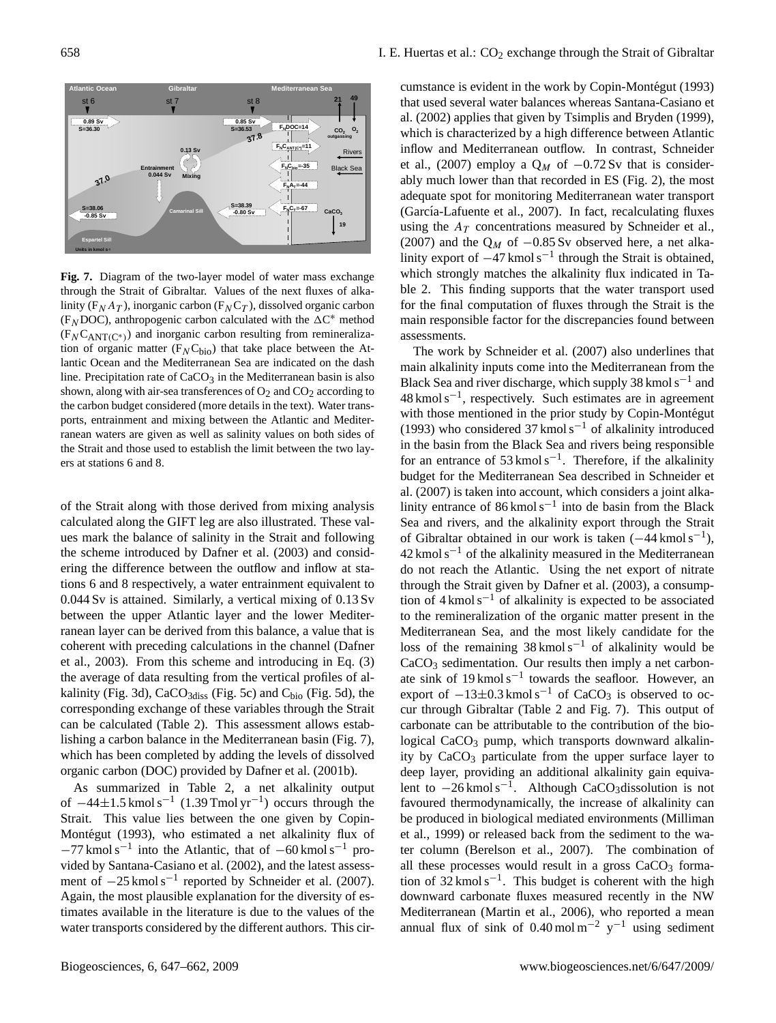

**Fig. 7.** Diagram of the two-layer model of water mass exchange through the Strait of Gibraltar. Values of the next fluxes of alkalinity ( $F_N A_T$ ), inorganic carbon ( $F_N C_T$ ), dissolved organic carbon (F<sub>N</sub>DOC), anthropogenic carbon calculated with the  $\Delta$ C<sup>\*</sup> method  $(F_N C_{\text{ANT}(C^*)})$  and inorganic carbon resulting from remineralization of organic matter ( $F_N C_{bio}$ ) that take place between the Atlantic Ocean and the Mediterranean Sea are indicated on the dash line. Precipitation rate of  $CaCO<sub>3</sub>$  in the Mediterranean basin is also shown, along with air-sea transferences of  $O_2$  and  $CO_2$  according to the carbon budget considered (more details in the text). Water transports, entrainment and mixing between the Atlantic and Mediterranean waters are given as well as salinity values on both sides of the Strait and those used to establish the limit between the two layers at stations 6 and 8.

of the Strait along with those derived from mixing analysis calculated along the GIFT leg are also illustrated. These values mark the balance of salinity in the Strait and following the scheme introduced by Dafner et al. (2003) and considering the difference between the outflow and inflow at stations 6 and 8 respectively, a water entrainment equivalent to 0.044 Sv is attained. Similarly, a vertical mixing of 0.13 Sv between the upper Atlantic layer and the lower Mediterranean layer can be derived from this balance, a value that is coherent with preceding calculations in the channel (Dafner et al., 2003). From this scheme and introducing in Eq. (3) the average of data resulting from the vertical profiles of alkalinity (Fig. 3d),  $CaCO<sub>3diss</sub>$  (Fig. 5c) and  $C<sub>bio</sub>$  (Fig. 5d), the corresponding exchange of these variables through the Strait can be calculated (Table 2). This assessment allows establishing a carbon balance in the Mediterranean basin (Fig. 7), which has been completed by adding the levels of dissolved organic carbon (DOC) provided by Dafner et al. (2001b).

As summarized in Table 2, a net alkalinity output of  $-44\pm1.5$  kmol s<sup>-1</sup> (1.39 Tmol yr<sup>-1</sup>) occurs through the Strait. This value lies between the one given by Copin-Montégut (1993), who estimated a net alkalinity flux of  $-77$  kmol s<sup>-1</sup> into the Atlantic, that of  $-60$  kmol s<sup>-1</sup> provided by Santana-Casiano et al. (2002), and the latest assessment of  $-25$  kmol s<sup>-1</sup> reported by Schneider et al. (2007). Again, the most plausible explanation for the diversity of estimates available in the literature is due to the values of the water transports considered by the different authors. This circumstance is evident in the work by Copin-Montégut (1993) that used several water balances whereas Santana-Casiano et al. (2002) applies that given by Tsimplis and Bryden (1999), which is characterized by a high difference between Atlantic inflow and Mediterranean outflow. In contrast, Schneider et al., (2007) employ a  $Q_M$  of  $-0.72$  Sv that is considerably much lower than that recorded in ES (Fig. 2), the most adequate spot for monitoring Mediterranean water transport (García-Lafuente et al., 2007). In fact, recalculating fluxes using the  $A_T$  concentrations measured by Schneider et al., (2007) and the Q<sub>M</sub> of  $-0.85$  Sv observed here, a net alkalinity export of  $-47$  kmol s<sup>-1</sup> through the Strait is obtained, which strongly matches the alkalinity flux indicated in Table 2. This finding supports that the water transport used for the final computation of fluxes through the Strait is the main responsible factor for the discrepancies found between assessments.

The work by Schneider et al. (2007) also underlines that main alkalinity inputs come into the Mediterranean from the Black Sea and river discharge, which supply 38 kmol s−<sup>1</sup> and 48 kmol s−<sup>1</sup> , respectively. Such estimates are in agreement with those mentioned in the prior study by Copin-Montégut (1993) who considered 37 kmol s<sup>-1</sup> of alkalinity introduced in the basin from the Black Sea and rivers being responsible for an entrance of  $53 \text{ kmol s}^{-1}$ . Therefore, if the alkalinity budget for the Mediterranean Sea described in Schneider et al. (2007) is taken into account, which considers a joint alkalinity entrance of  $86$  kmol s<sup>-1</sup> into de basin from the Black Sea and rivers, and the alkalinity export through the Strait of Gibraltar obtained in our work is taken  $(-44 \text{ kmol s}^{-1})$ ,  $42$  kmol s<sup>-1</sup> of the alkalinity measured in the Mediterranean do not reach the Atlantic. Using the net export of nitrate through the Strait given by Dafner et al. (2003), a consumption of  $4 \text{ kmol s}^{-1}$  of alkalinity is expected to be associated to the remineralization of the organic matter present in the Mediterranean Sea, and the most likely candidate for the loss of the remaining  $38 \text{ kmol s}^{-1}$  of alkalinity would be  $CaCO<sub>3</sub>$  sedimentation. Our results then imply a net carbonate sink of  $19 \text{ kmol s}^{-1}$  towards the seafloor. However, an export of  $-13\pm0.3$  kmol s<sup>-1</sup> of CaCO<sub>3</sub> is observed to occur through Gibraltar (Table 2 and Fig. 7). This output of carbonate can be attributable to the contribution of the biological CaCO<sub>3</sub> pump, which transports downward alkalinity by  $CaCO<sub>3</sub>$  particulate from the upper surface layer to deep layer, providing an additional alkalinity gain equivalent to  $-26$  kmol s<sup>-1</sup>. Although CaCO<sub>3</sub> dissolution is not favoured thermodynamically, the increase of alkalinity can be produced in biological mediated environments (Milliman et al., 1999) or released back from the sediment to the water column (Berelson et al., 2007). The combination of all these processes would result in a gross  $CaCO<sub>3</sub>$  formation of  $32 \text{ kmol s}^{-1}$ . This budget is coherent with the high downward carbonate fluxes measured recently in the NW Mediterranean (Martin et al., 2006), who reported a mean annual flux of sink of 0.40 mol m<sup>-2</sup> y<sup>-1</sup> using sediment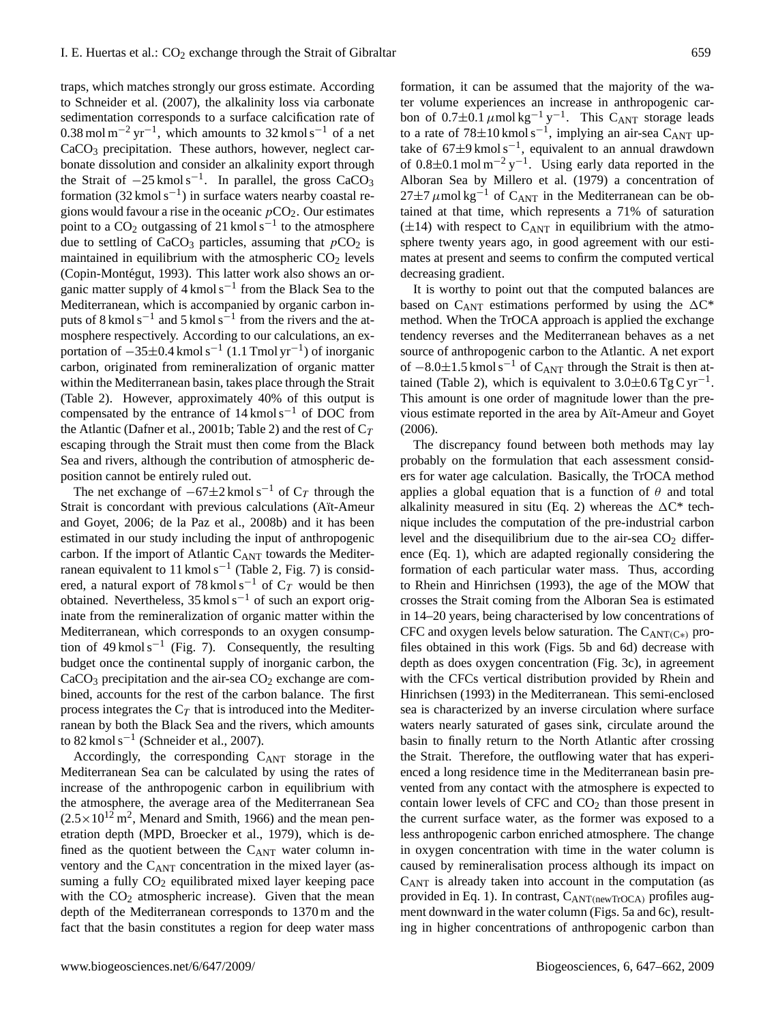traps, which matches strongly our gross estimate. According to Schneider et al. (2007), the alkalinity loss via carbonate sedimentation corresponds to a surface calcification rate of 0.38 mol m<sup>-2</sup> yr<sup>-1</sup>, which amounts to 32 kmol s<sup>-1</sup> of a net CaCO<sub>3</sub> precipitation. These authors, however, neglect carbonate dissolution and consider an alkalinity export through the Strait of  $-25$  kmol s<sup>-1</sup>. In parallel, the gross CaCO<sub>3</sub> formation  $(32 \text{ kmol s}^{-1})$  in surface waters nearby coastal regions would favour a rise in the oceanic  $pCO<sub>2</sub>$ . Our estimates point to a  $CO_2$  outgassing of 21 kmol s<sup>-1</sup> to the atmosphere due to settling of  $CaCO<sub>3</sub>$  particles, assuming that  $pCO<sub>2</sub>$  is maintained in equilibrium with the atmospheric  $CO<sub>2</sub>$  levels (Copin-Montégut, 1993). This latter work also shows an organic matter supply of  $4 \text{ kmol s}^{-1}$  from the Black Sea to the Mediterranean, which is accompanied by organic carbon inputs of  $8 \text{ kmol s}^{-1}$  and  $5 \text{ kmol s}^{-1}$  from the rivers and the atmosphere respectively. According to our calculations, an exportation of  $-35\pm0.4$  kmol s<sup>-1</sup> (1.1 Tmol yr<sup>-1</sup>) of inorganic carbon, originated from remineralization of organic matter within the Mediterranean basin, takes place through the Strait (Table 2). However, approximately 40% of this output is compensated by the entrance of  $14 \text{ kmol s}^{-1}$  of DOC from the Atlantic (Dafner et al., 2001b; Table 2) and the rest of  $C_T$ escaping through the Strait must then come from the Black Sea and rivers, although the contribution of atmospheric deposition cannot be entirely ruled out.

The net exchange of  $-67\pm 2$  kmol s<sup>-1</sup> of C<sub>T</sub> through the Strait is concordant with previous calculations (Aït-Ameur and Goyet, 2006; de la Paz et al., 2008b) and it has been estimated in our study including the input of anthropogenic carbon. If the import of Atlantic C<sub>ANT</sub> towards the Mediterranean equivalent to 11 kmol s<sup>-1</sup> (Table 2, Fig. 7) is considered, a natural export of 78 kmol s<sup>-1</sup> of C<sub>T</sub> would be then obtained. Nevertheless, 35 kmol s−<sup>1</sup> of such an export originate from the remineralization of organic matter within the Mediterranean, which corresponds to an oxygen consumption of  $49 \text{ kmol s}^{-1}$  (Fig. 7). Consequently, the resulting budget once the continental supply of inorganic carbon, the  $CaCO<sub>3</sub>$  precipitation and the air-sea  $CO<sub>2</sub>$  exchange are combined, accounts for the rest of the carbon balance. The first process integrates the  $C_T$  that is introduced into the Mediterranean by both the Black Sea and the rivers, which amounts to 82 kmol s<sup>-1</sup> (Schneider et al., 2007).

Accordingly, the corresponding CANT storage in the Mediterranean Sea can be calculated by using the rates of increase of the anthropogenic carbon in equilibrium with the atmosphere, the average area of the Mediterranean Sea  $(2.5 \times 10^{12} \text{ m}^2)$ , Menard and Smith, 1966) and the mean penetration depth (MPD, Broecker et al., 1979), which is defined as the quotient between the  $C_{\text{ANT}}$  water column inventory and the  $C_{\text{ANT}}$  concentration in the mixed layer (assuming a fully CO<sub>2</sub> equilibrated mixed layer keeping pace with the  $CO<sub>2</sub>$  atmospheric increase). Given that the mean depth of the Mediterranean corresponds to 1370 m and the fact that the basin constitutes a region for deep water mass formation, it can be assumed that the majority of the water volume experiences an increase in anthropogenic carbon of  $0.7 \pm 0.1 \mu$ mol kg<sup>-1</sup> y<sup>-1</sup>. This C<sub>ANT</sub> storage leads to a rate of  $78\pm10$  kmol s<sup>-1</sup>, implying an air-sea C<sub>ANT</sub> uptake of  $67±9$  kmol s<sup>-1</sup>, equivalent to an annual drawdown of  $0.8 \pm 0.1$  mol m<sup>-2</sup> y<sup>-1</sup>. Using early data reported in the Alboran Sea by Millero et al. (1979) a concentration of 27±7  $\mu$ mol kg<sup>-1</sup> of C<sub>ANT</sub> in the Mediterranean can be obtained at that time, which represents a 71% of saturation  $(\pm 14)$  with respect to C<sub>ANT</sub> in equilibrium with the atmosphere twenty years ago, in good agreement with our estimates at present and seems to confirm the computed vertical decreasing gradient.

It is worthy to point out that the computed balances are based on C<sub>ANT</sub> estimations performed by using the  $\Delta C^*$ method. When the TrOCA approach is applied the exchange tendency reverses and the Mediterranean behaves as a net source of anthropogenic carbon to the Atlantic. A net export of  $-8.0\pm1.5$  kmol s<sup>-1</sup> of C<sub>ANT</sub> through the Strait is then attained (Table 2), which is equivalent to  $3.0 \pm 0.6$  Tg C yr<sup>-1</sup>. This amount is one order of magnitude lower than the previous estimate reported in the area by Aït-Ameur and Goyet (2006).

The discrepancy found between both methods may lay probably on the formulation that each assessment considers for water age calculation. Basically, the TrOCA method applies a global equation that is a function of  $\theta$  and total alkalinity measured in situ (Eq. 2) whereas the  $\Delta C^*$  technique includes the computation of the pre-industrial carbon level and the disequilibrium due to the air-sea  $CO<sub>2</sub>$  difference (Eq. 1), which are adapted regionally considering the formation of each particular water mass. Thus, according to Rhein and Hinrichsen (1993), the age of the MOW that crosses the Strait coming from the Alboran Sea is estimated in 14–20 years, being characterised by low concentrations of CFC and oxygen levels below saturation. The  $C_{\text{ANT}(C*)}$  profiles obtained in this work (Figs. 5b and 6d) decrease with depth as does oxygen concentration (Fig. 3c), in agreement with the CFCs vertical distribution provided by Rhein and Hinrichsen (1993) in the Mediterranean. This semi-enclosed sea is characterized by an inverse circulation where surface waters nearly saturated of gases sink, circulate around the basin to finally return to the North Atlantic after crossing the Strait. Therefore, the outflowing water that has experienced a long residence time in the Mediterranean basin prevented from any contact with the atmosphere is expected to contain lower levels of CFC and  $CO<sub>2</sub>$  than those present in the current surface water, as the former was exposed to a less anthropogenic carbon enriched atmosphere. The change in oxygen concentration with time in the water column is caused by remineralisation process although its impact on CANT is already taken into account in the computation (as provided in Eq. 1). In contrast, CANT(newTrOCA) profiles augment downward in the water column (Figs. 5a and 6c), resulting in higher concentrations of anthropogenic carbon than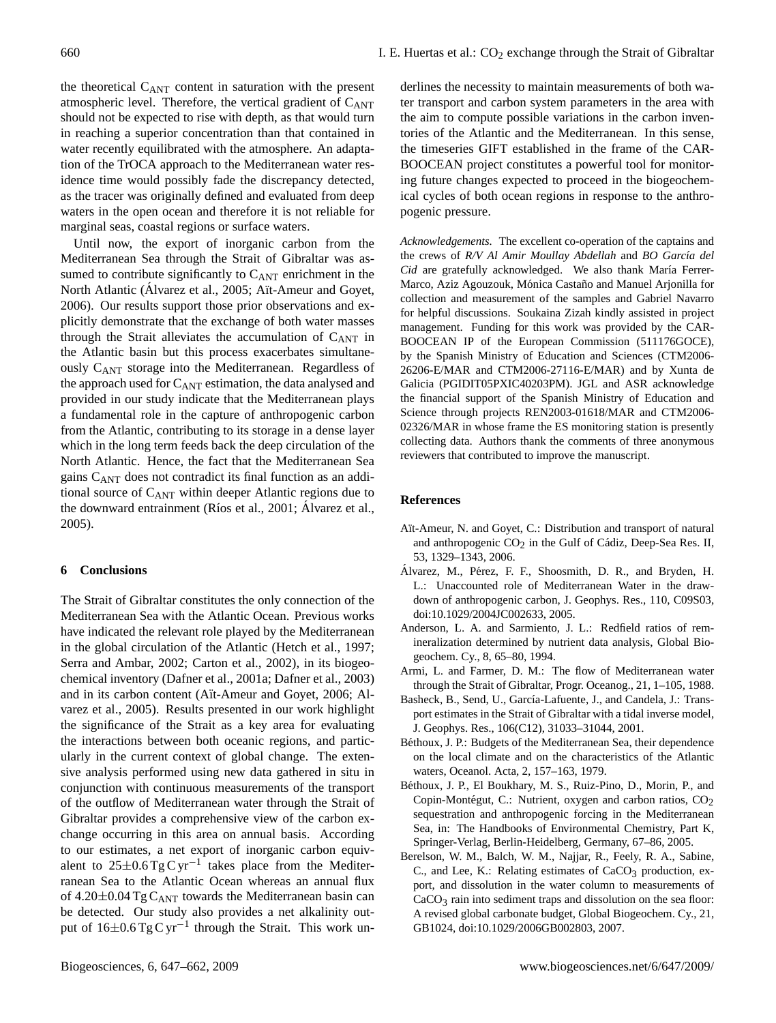the theoretical  $C_{\text{ANT}}$  content in saturation with the present atmospheric level. Therefore, the vertical gradient of CANT should not be expected to rise with depth, as that would turn in reaching a superior concentration than that contained in water recently equilibrated with the atmosphere. An adaptation of the TrOCA approach to the Mediterranean water residence time would possibly fade the discrepancy detected, as the tracer was originally defined and evaluated from deep waters in the open ocean and therefore it is not reliable for marginal seas, coastal regions or surface waters.

Until now, the export of inorganic carbon from the Mediterranean Sea through the Strait of Gibraltar was assumed to contribute significantly to  $C_{ANT}$  enrichment in the North Atlantic (Álvarez et al., 2005; Aït-Ameur and Goyet, 2006). Our results support those prior observations and explicitly demonstrate that the exchange of both water masses through the Strait alleviates the accumulation of  $C_{ANT}$  in the Atlantic basin but this process exacerbates simultaneously CANT storage into the Mediterranean. Regardless of the approach used for  $C_{\text{ANT}}$  estimation, the data analysed and provided in our study indicate that the Mediterranean plays a fundamental role in the capture of anthropogenic carbon from the Atlantic, contributing to its storage in a dense layer which in the long term feeds back the deep circulation of the North Atlantic. Hence, the fact that the Mediterranean Sea gains CANT does not contradict its final function as an additional source of CANT within deeper Atlantic regions due to the downward entrainment (Ríos et al., 2001; Álvarez et al., 2005).

## **6 Conclusions**

The Strait of Gibraltar constitutes the only connection of the Mediterranean Sea with the Atlantic Ocean. Previous works have indicated the relevant role played by the Mediterranean in the global circulation of the Atlantic (Hetch et al., 1997; Serra and Ambar, 2002; Carton et al., 2002), in its biogeochemical inventory (Dafner et al., 2001a; Dafner et al., 2003) and in its carbon content (Aït-Ameur and Goyet, 2006; Alvarez et al., 2005). Results presented in our work highlight the significance of the Strait as a key area for evaluating the interactions between both oceanic regions, and particularly in the current context of global change. The extensive analysis performed using new data gathered in situ in conjunction with continuous measurements of the transport of the outflow of Mediterranean water through the Strait of Gibraltar provides a comprehensive view of the carbon exchange occurring in this area on annual basis. According to our estimates, a net export of inorganic carbon equivalent to 25±0.6 Tg C yr−<sup>1</sup> takes place from the Mediterranean Sea to the Atlantic Ocean whereas an annual flux of  $4.20\pm0.04$  Tg C<sub>ANT</sub> towards the Mediterranean basin can be detected. Our study also provides a net alkalinity output of  $16\pm0.6$  Tg C yr<sup>-1</sup> through the Strait. This work un-

derlines the necessity to maintain measurements of both water transport and carbon system parameters in the area with the aim to compute possible variations in the carbon inventories of the Atlantic and the Mediterranean. In this sense, the timeseries GIFT established in the frame of the CAR-BOOCEAN project constitutes a powerful tool for monitoring future changes expected to proceed in the biogeochemical cycles of both ocean regions in response to the anthropogenic pressure.

*Acknowledgements.* The excellent co-operation of the captains and the crews of *R/V Al Amir Moullay Abdellah* and *BO García del Cid* are gratefully acknowledged. We also thank María Ferrer-Marco, Aziz Agouzouk, Mónica Castaño and Manuel Arjonilla for collection and measurement of the samples and Gabriel Navarro for helpful discussions. Soukaina Zizah kindly assisted in project management. Funding for this work was provided by the CAR-BOOCEAN IP of the European Commission (511176GOCE), by the Spanish Ministry of Education and Sciences (CTM2006- 26206-E/MAR and CTM2006-27116-E/MAR) and by Xunta de Galicia (PGIDIT05PXIC40203PM). JGL and ASR acknowledge the financial support of the Spanish Ministry of Education and Science through projects REN2003-01618/MAR and CTM2006- 02326/MAR in whose frame the ES monitoring station is presently collecting data. Authors thank the comments of three anonymous reviewers that contributed to improve the manuscript.

#### **References**

- Aït-Ameur, N. and Goyet, C.: Distribution and transport of natural and anthropogenic  $CO<sub>2</sub>$  in the Gulf of Cádiz, Deep-Sea Res. II, 53, 1329–1343, 2006.
- Alvarez, M., Pérez, F. F., Shoosmith, D. R., and Bryden, H. L.: Unaccounted role of Mediterranean Water in the drawdown of anthropogenic carbon, J. Geophys. Res., 110, C09S03, doi:10.1029/2004JC002633, 2005.
- Anderson, L. A. and Sarmiento, J. L.: Redfield ratios of remineralization determined by nutrient data analysis, Global Biogeochem. Cy., 8, 65–80, 1994.
- Armi, L. and Farmer, D. M.: The flow of Mediterranean water through the Strait of Gibraltar, Progr. Oceanog., 21, 1–105, 1988.
- Basheck, B., Send, U., García-Lafuente, J., and Candela, J.: Transport estimates in the Strait of Gibraltar with a tidal inverse model, J. Geophys. Res., 106(C12), 31033–31044, 2001.
- Béthoux, J. P.: Budgets of the Mediterranean Sea, their dependence on the local climate and on the characteristics of the Atlantic waters, Oceanol. Acta, 2, 157–163, 1979.
- Bethoux, J. P., El Boukhary, M. S., Ruiz-Pino, D., Morin, P., and ´ Copin-Montégut, C.: Nutrient, oxygen and carbon ratios,  $CO<sub>2</sub>$ sequestration and anthropogenic forcing in the Mediterranean Sea, in: The Handbooks of Environmental Chemistry, Part K, Springer-Verlag, Berlin-Heidelberg, Germany, 67–86, 2005.
- Berelson, W. M., Balch, W. M., Najjar, R., Feely, R. A., Sabine, C., and Lee, K.: Relating estimates of  $CaCO<sub>3</sub>$  production, export, and dissolution in the water column to measurements of  $CaCO<sub>3</sub>$  rain into sediment traps and dissolution on the sea floor: A revised global carbonate budget, Global Biogeochem. Cy., 21, GB1024, doi:10.1029/2006GB002803, 2007.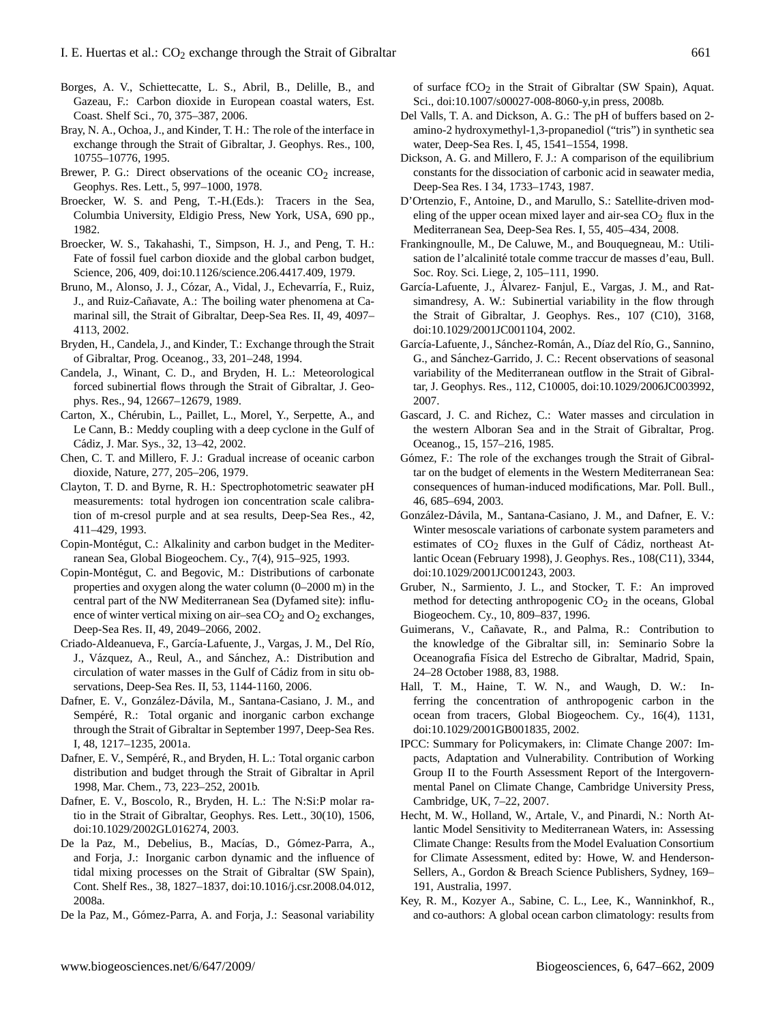- Borges, A. V., Schiettecatte, L. S., Abril, B., Delille, B., and Gazeau, F.: Carbon dioxide in European coastal waters, Est. Coast. Shelf Sci., 70, 375–387, 2006.
- Bray, N. A., Ochoa, J., and Kinder, T. H.: The role of the interface in exchange through the Strait of Gibraltar, J. Geophys. Res., 100, 10755–10776, 1995.
- Brewer, P. G.: Direct observations of the oceanic  $CO<sub>2</sub>$  increase, Geophys. Res. Lett., 5, 997–1000, 1978.
- Broecker, W. S. and Peng, T.-H.(Eds.): Tracers in the Sea, Columbia University, Eldigio Press, New York, USA, 690 pp., 1982.
- Broecker, W. S., Takahashi, T., Simpson, H. J., and Peng, T. H.: Fate of fossil fuel carbon dioxide and the global carbon budget, Science, 206, 409, doi:10.1126/science.206.4417.409, 1979.
- Bruno, M., Alonso, J. J., Cózar, A., Vidal, J., Echevarría, F., Ruiz, J., and Ruiz-Cañavate, A.: The boiling water phenomena at Camarinal sill, the Strait of Gibraltar, Deep-Sea Res. II, 49, 4097– 4113, 2002.
- Bryden, H., Candela, J., and Kinder, T.: Exchange through the Strait of Gibraltar, Prog. Oceanog., 33, 201–248, 1994.
- Candela, J., Winant, C. D., and Bryden, H. L.: Meteorological forced subinertial flows through the Strait of Gibraltar, J. Geophys. Res., 94, 12667–12679, 1989.
- Carton, X., Chérubin, L., Paillet, L., Morel, Y., Serpette, A., and Le Cann, B.: Meddy coupling with a deep cyclone in the Gulf of Cádiz, J. Mar. Sys., 32, 13-42, 2002.
- Chen, C. T. and Millero, F. J.: Gradual increase of oceanic carbon dioxide, Nature, 277, 205–206, 1979.
- Clayton, T. D. and Byrne, R. H.: Spectrophotometric seawater pH measurements: total hydrogen ion concentration scale calibration of m-cresol purple and at sea results, Deep-Sea Res., 42, 411–429, 1993.
- Copin-Montégut, C.: Alkalinity and carbon budget in the Mediterranean Sea, Global Biogeochem. Cy., 7(4), 915–925, 1993.
- Copin-Montégut, C. and Begovic, M.: Distributions of carbonate properties and oxygen along the water column (0–2000 m) in the central part of the NW Mediterranean Sea (Dyfamed site): influence of winter vertical mixing on air–sea  $CO<sub>2</sub>$  and  $O<sub>2</sub>$  exchanges, Deep-Sea Res. II, 49, 2049–2066, 2002.
- Criado-Aldeanueva, F., García-Lafuente, J., Vargas, J. M., Del Río, J., Vázquez, A., Reul, A., and Sánchez, A.: Distribution and circulation of water masses in the Gulf of Cádiz from in situ observations, Deep-Sea Res. II, 53, 1144-1160, 2006.
- Dafner, E. V., González-Dávila, M., Santana-Casiano, J. M., and Sempéré, R.: Total organic and inorganic carbon exchange through the Strait of Gibraltar in September 1997, Deep-Sea Res. I, 48, 1217–1235, 2001a.
- Dafner, E. V., Sempéré, R., and Bryden, H. L.: Total organic carbon distribution and budget through the Strait of Gibraltar in April 1998, Mar. Chem., 73, 223–252, 2001b.
- Dafner, E. V., Boscolo, R., Bryden, H. L.: The N:Si:P molar ratio in the Strait of Gibraltar, Geophys. Res. Lett., 30(10), 1506, doi:10.1029/2002GL016274, 2003.
- De la Paz, M., Debelius, B., Macías, D., Gómez-Parra, A., and Forja, J.: Inorganic carbon dynamic and the influence of tidal mixing processes on the Strait of Gibraltar (SW Spain), Cont. Shelf Res., 38, 1827–1837, doi:10.1016/j.csr.2008.04.012, 2008a.
- De la Paz, M., Gómez-Parra, A. and Forja, J.: Seasonal variability

of surface fCO<sub>2</sub> in the Strait of Gibraltar (SW Spain), Aquat. Sci., doi:10.1007/s00027-008-8060-y,in press, 2008b.

- Del Valls, T. A. and Dickson, A. G.: The pH of buffers based on 2 amino-2 hydroxymethyl-1,3-propanediol ("tris") in synthetic sea water, Deep-Sea Res. I, 45, 1541–1554, 1998.
- Dickson, A. G. and Millero, F. J.: A comparison of the equilibrium constants for the dissociation of carbonic acid in seawater media, Deep-Sea Res. I 34, 1733–1743, 1987.
- D'Ortenzio, F., Antoine, D., and Marullo, S.: Satellite-driven modeling of the upper ocean mixed layer and air-sea  $CO<sub>2</sub>$  flux in the Mediterranean Sea, Deep-Sea Res. I, 55, 405–434, 2008.
- Frankingnoulle, M., De Caluwe, M., and Bouquegneau, M.: Utilisation de l'alcalinité totale comme traccur de masses d'eau, Bull. Soc. Roy. Sci. Liege, 2, 105–111, 1990.
- García-Lafuente, J., Álvarez- Fanjul, E., Vargas, J. M., and Ratsimandresy, A. W.: Subinertial variability in the flow through the Strait of Gibraltar, J. Geophys. Res., 107 (C10), 3168, doi:10.1029/2001JC001104, 2002.
- García-Lafuente, J., Sánchez-Román, A., Díaz del Río, G., Sannino, G., and Sánchez-Garrido, J. C.: Recent observations of seasonal variability of the Mediterranean outflow in the Strait of Gibraltar, J. Geophys. Res., 112, C10005, doi:10.1029/2006JC003992, 2007.
- Gascard, J. C. and Richez, C.: Water masses and circulation in the western Alboran Sea and in the Strait of Gibraltar, Prog. Oceanog., 15, 157–216, 1985.
- Gómez, F.: The role of the exchanges trough the Strait of Gibraltar on the budget of elements in the Western Mediterranean Sea: consequences of human-induced modifications, Mar. Poll. Bull., 46, 685–694, 2003.
- González-Dávila, M., Santana-Casiano, J. M., and Dafner, E. V.: Winter mesoscale variations of carbonate system parameters and estimates of  $CO<sub>2</sub>$  fluxes in the Gulf of Cádiz, northeast Atlantic Ocean (February 1998), J. Geophys. Res., 108(C11), 3344, doi:10.1029/2001JC001243, 2003.
- Gruber, N., Sarmiento, J. L., and Stocker, T. F.: An improved method for detecting anthropogenic  $CO<sub>2</sub>$  in the oceans, Global Biogeochem. Cy., 10, 809–837, 1996.
- Guimerans, V., Cañavate, R., and Palma, R.: Contribution to the knowledge of the Gibraltar sill, in: Seminario Sobre la Oceanografia Física del Estrecho de Gibraltar, Madrid, Spain, 24–28 October 1988, 83, 1988.
- Hall, T. M., Haine, T. W. N., and Waugh, D. W.: Inferring the concentration of anthropogenic carbon in the ocean from tracers, Global Biogeochem. Cy., 16(4), 1131, doi:10.1029/2001GB001835, 2002.
- IPCC: Summary for Policymakers, in: Climate Change 2007: Impacts, Adaptation and Vulnerability. Contribution of Working Group II to the Fourth Assessment Report of the Intergovernmental Panel on Climate Change, Cambridge University Press, Cambridge, UK, 7–22, 2007.
- Hecht, M. W., Holland, W., Artale, V., and Pinardi, N.: North Atlantic Model Sensitivity to Mediterranean Waters, in: Assessing Climate Change: Results from the Model Evaluation Consortium for Climate Assessment, edited by: Howe, W. and Henderson-Sellers, A., Gordon & Breach Science Publishers, Sydney, 169– 191, Australia, 1997.
- Key, R. M., Kozyer A., Sabine, C. L., Lee, K., Wanninkhof, R., and co-authors: A global ocean carbon climatology: results from